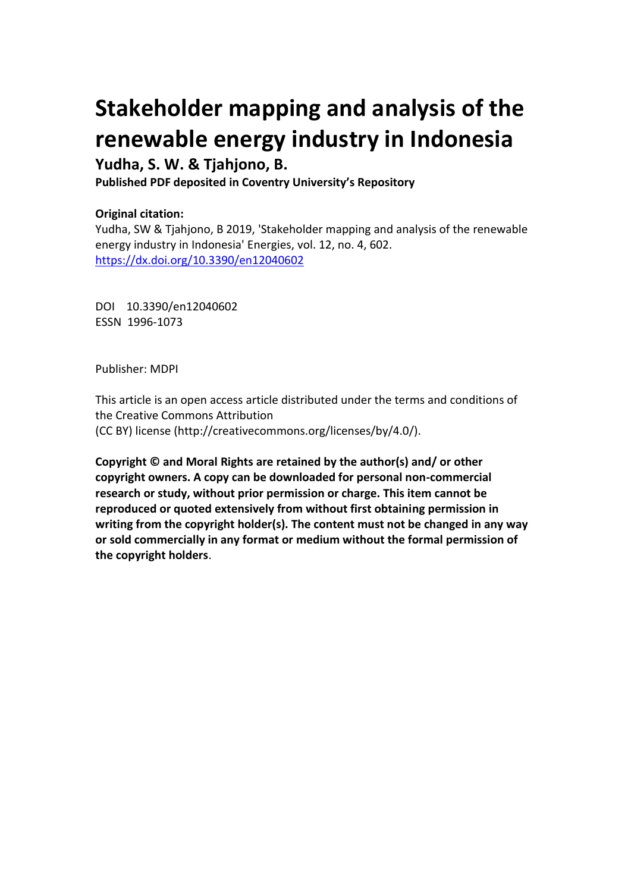# **Stakeholder mapping and analysis of the renewable energy industry in Indonesia**

# **Yudha, S. W. & Tjahjono, B.**

**Published PDF deposited in Coventry University's Repository** 

# **Original citation:**

Yudha, SW & Tjahjono, B 2019, 'Stakeholder mapping and analysis of the renewable energy industry in Indonesia' Energies, vol. 12, no. 4, 602. https://dx.doi.org/10.3390/en12040602

DOI 10.3390/en12040602 ESSN 1996-1073

Publisher: MDPI

This article is an open access article distributed under the terms and conditions of the Creative Commons Attribution (CC BY) license (http://creativecommons.org/licenses/by/4.0/).

**Copyright © and Moral Rights are retained by the author(s) and/ or other copyright owners. A copy can be downloaded for personal non-commercial research or study, without prior permission or charge. This item cannot be reproduced or quoted extensively from without first obtaining permission in writing from the copyright holder(s). The content must not be changed in any way or sold commercially in any format or medium without the formal permission of the copyright holders**.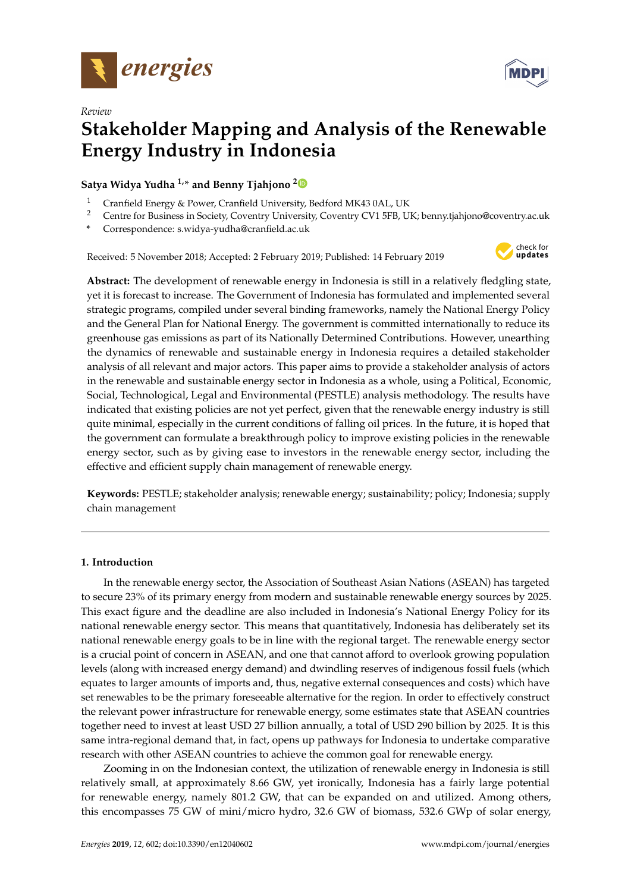

*Review*



# **Stakeholder Mapping and Analysis of the Renewable Energy Industry in Indonesia**

# **Satya Widya Yudha 1,\* and Benny Tjahjono [2](https://orcid.org/0000-0001-7503-7500)**

- <sup>1</sup> Cranfield Energy & Power, Cranfield University, Bedford MK43 0AL, UK
- <sup>2</sup> Centre for Business in Society, Coventry University, Coventry CV1 5FB, UK; benny.tjahjono@coventry.ac.uk
- **\*** Correspondence: s.widya-yudha@cranfield.ac.uk

Received: 5 November 2018; Accepted: 2 February 2019; Published: 14 February 2019



**Abstract:** The development of renewable energy in Indonesia is still in a relatively fledgling state, yet it is forecast to increase. The Government of Indonesia has formulated and implemented several strategic programs, compiled under several binding frameworks, namely the National Energy Policy and the General Plan for National Energy. The government is committed internationally to reduce its greenhouse gas emissions as part of its Nationally Determined Contributions. However, unearthing the dynamics of renewable and sustainable energy in Indonesia requires a detailed stakeholder analysis of all relevant and major actors. This paper aims to provide a stakeholder analysis of actors in the renewable and sustainable energy sector in Indonesia as a whole, using a Political, Economic, Social, Technological, Legal and Environmental (PESTLE) analysis methodology. The results have indicated that existing policies are not yet perfect, given that the renewable energy industry is still quite minimal, especially in the current conditions of falling oil prices. In the future, it is hoped that the government can formulate a breakthrough policy to improve existing policies in the renewable energy sector, such as by giving ease to investors in the renewable energy sector, including the effective and efficient supply chain management of renewable energy.

**Keywords:** PESTLE; stakeholder analysis; renewable energy; sustainability; policy; Indonesia; supply chain management

# **1. Introduction**

In the renewable energy sector, the Association of Southeast Asian Nations (ASEAN) has targeted to secure 23% of its primary energy from modern and sustainable renewable energy sources by 2025. This exact figure and the deadline are also included in Indonesia's National Energy Policy for its national renewable energy sector. This means that quantitatively, Indonesia has deliberately set its national renewable energy goals to be in line with the regional target. The renewable energy sector is a crucial point of concern in ASEAN, and one that cannot afford to overlook growing population levels (along with increased energy demand) and dwindling reserves of indigenous fossil fuels (which equates to larger amounts of imports and, thus, negative external consequences and costs) which have set renewables to be the primary foreseeable alternative for the region. In order to effectively construct the relevant power infrastructure for renewable energy, some estimates state that ASEAN countries together need to invest at least USD 27 billion annually, a total of USD 290 billion by 2025. It is this same intra-regional demand that, in fact, opens up pathways for Indonesia to undertake comparative research with other ASEAN countries to achieve the common goal for renewable energy.

Zooming in on the Indonesian context, the utilization of renewable energy in Indonesia is still relatively small, at approximately 8.66 GW, yet ironically, Indonesia has a fairly large potential for renewable energy, namely 801.2 GW, that can be expanded on and utilized. Among others, this encompasses 75 GW of mini/micro hydro, 32.6 GW of biomass, 532.6 GWp of solar energy,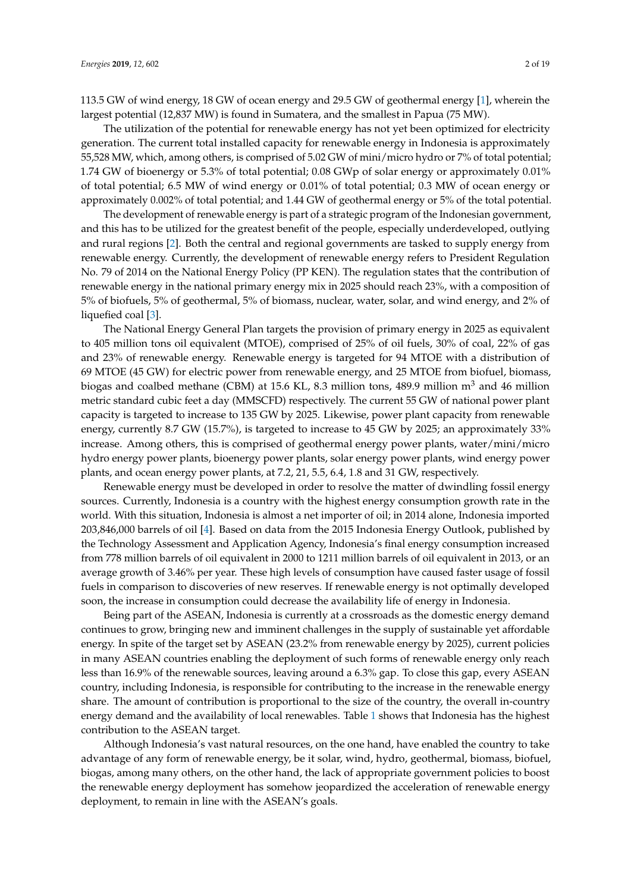113.5 GW of wind energy, 18 GW of ocean energy and 29.5 GW of geothermal energy [\[1\]](#page-16-0), wherein the largest potential (12,837 MW) is found in Sumatera, and the smallest in Papua (75 MW).

The utilization of the potential for renewable energy has not yet been optimized for electricity generation. The current total installed capacity for renewable energy in Indonesia is approximately 55,528 MW, which, among others, is comprised of 5.02 GW of mini/micro hydro or 7% of total potential; 1.74 GW of bioenergy or 5.3% of total potential; 0.08 GWp of solar energy or approximately 0.01% of total potential; 6.5 MW of wind energy or 0.01% of total potential; 0.3 MW of ocean energy or approximately 0.002% of total potential; and 1.44 GW of geothermal energy or 5% of the total potential.

The development of renewable energy is part of a strategic program of the Indonesian government, and this has to be utilized for the greatest benefit of the people, especially underdeveloped, outlying and rural regions [\[2\]](#page-16-1). Both the central and regional governments are tasked to supply energy from renewable energy. Currently, the development of renewable energy refers to President Regulation No. 79 of 2014 on the National Energy Policy (PP KEN). The regulation states that the contribution of renewable energy in the national primary energy mix in 2025 should reach 23%, with a composition of 5% of biofuels, 5% of geothermal, 5% of biomass, nuclear, water, solar, and wind energy, and 2% of liquefied coal [\[3\]](#page-16-2).

The National Energy General Plan targets the provision of primary energy in 2025 as equivalent to 405 million tons oil equivalent (MTOE), comprised of 25% of oil fuels, 30% of coal, 22% of gas and 23% of renewable energy. Renewable energy is targeted for 94 MTOE with a distribution of 69 MTOE (45 GW) for electric power from renewable energy, and 25 MTOE from biofuel, biomass, biogas and coalbed methane (CBM) at 15.6 KL, 8.3 million tons, 489.9 million m<sup>3</sup> and 46 million metric standard cubic feet a day (MMSCFD) respectively. The current 55 GW of national power plant capacity is targeted to increase to 135 GW by 2025. Likewise, power plant capacity from renewable energy, currently 8.7 GW (15.7%), is targeted to increase to 45 GW by 2025; an approximately 33% increase. Among others, this is comprised of geothermal energy power plants, water/mini/micro hydro energy power plants, bioenergy power plants, solar energy power plants, wind energy power plants, and ocean energy power plants, at 7.2, 21, 5.5, 6.4, 1.8 and 31 GW, respectively.

Renewable energy must be developed in order to resolve the matter of dwindling fossil energy sources. Currently, Indonesia is a country with the highest energy consumption growth rate in the world. With this situation, Indonesia is almost a net importer of oil; in 2014 alone, Indonesia imported 203,846,000 barrels of oil [\[4\]](#page-16-3). Based on data from the 2015 Indonesia Energy Outlook, published by the Technology Assessment and Application Agency, Indonesia's final energy consumption increased from 778 million barrels of oil equivalent in 2000 to 1211 million barrels of oil equivalent in 2013, or an average growth of 3.46% per year. These high levels of consumption have caused faster usage of fossil fuels in comparison to discoveries of new reserves. If renewable energy is not optimally developed soon, the increase in consumption could decrease the availability life of energy in Indonesia.

Being part of the ASEAN, Indonesia is currently at a crossroads as the domestic energy demand continues to grow, bringing new and imminent challenges in the supply of sustainable yet affordable energy. In spite of the target set by ASEAN (23.2% from renewable energy by 2025), current policies in many ASEAN countries enabling the deployment of such forms of renewable energy only reach less than 16.9% of the renewable sources, leaving around a 6.3% gap. To close this gap, every ASEAN country, including Indonesia, is responsible for contributing to the increase in the renewable energy share. The amount of contribution is proportional to the size of the country, the overall in-country energy demand and the availability of local renewables. Table [1](#page-3-0) shows that Indonesia has the highest contribution to the ASEAN target.

Although Indonesia's vast natural resources, on the one hand, have enabled the country to take advantage of any form of renewable energy, be it solar, wind, hydro, geothermal, biomass, biofuel, biogas, among many others, on the other hand, the lack of appropriate government policies to boost the renewable energy deployment has somehow jeopardized the acceleration of renewable energy deployment, to remain in line with the ASEAN's goals.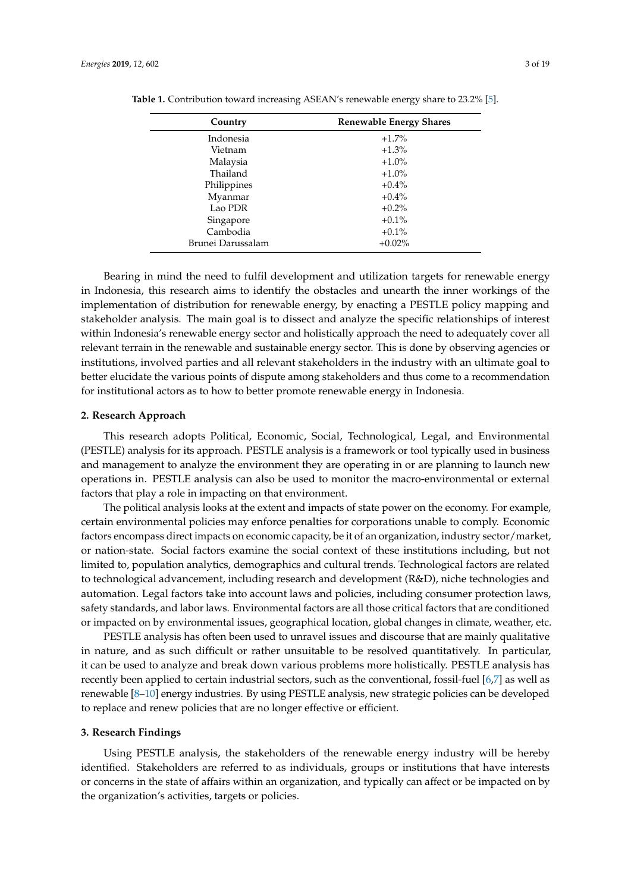| Country           | <b>Renewable Energy Shares</b> |
|-------------------|--------------------------------|
| Indonesia         | $+1.7\%$                       |
| Vietnam           | $+1.3\%$                       |
| Malaysia          | $+1.0\%$                       |
| Thailand          | $+1.0\%$                       |
| Philippines       | $+0.4\%$                       |
| Myanmar           | $+0.4\%$                       |
| Lao PDR           | $+0.2\%$                       |
| Singapore         | $+0.1\%$                       |
| Cambodia          | $+0.1\%$                       |
| Brunei Darussalam | $+0.02\%$                      |

<span id="page-3-0"></span>**Table 1.** Contribution toward increasing ASEAN's renewable energy share to 23.2% [\[5\]](#page-16-4).

Bearing in mind the need to fulfil development and utilization targets for renewable energy in Indonesia, this research aims to identify the obstacles and unearth the inner workings of the implementation of distribution for renewable energy, by enacting a PESTLE policy mapping and stakeholder analysis. The main goal is to dissect and analyze the specific relationships of interest within Indonesia's renewable energy sector and holistically approach the need to adequately cover all relevant terrain in the renewable and sustainable energy sector. This is done by observing agencies or institutions, involved parties and all relevant stakeholders in the industry with an ultimate goal to better elucidate the various points of dispute among stakeholders and thus come to a recommendation for institutional actors as to how to better promote renewable energy in Indonesia.

#### **2. Research Approach**

This research adopts Political, Economic, Social, Technological, Legal, and Environmental (PESTLE) analysis for its approach. PESTLE analysis is a framework or tool typically used in business and management to analyze the environment they are operating in or are planning to launch new operations in. PESTLE analysis can also be used to monitor the macro-environmental or external factors that play a role in impacting on that environment.

The political analysis looks at the extent and impacts of state power on the economy. For example, certain environmental policies may enforce penalties for corporations unable to comply. Economic factors encompass direct impacts on economic capacity, be it of an organization, industry sector/market, or nation-state. Social factors examine the social context of these institutions including, but not limited to, population analytics, demographics and cultural trends. Technological factors are related to technological advancement, including research and development (R&D), niche technologies and automation. Legal factors take into account laws and policies, including consumer protection laws, safety standards, and labor laws. Environmental factors are all those critical factors that are conditioned or impacted on by environmental issues, geographical location, global changes in climate, weather, etc.

PESTLE analysis has often been used to unravel issues and discourse that are mainly qualitative in nature, and as such difficult or rather unsuitable to be resolved quantitatively. In particular, it can be used to analyze and break down various problems more holistically. PESTLE analysis has recently been applied to certain industrial sectors, such as the conventional, fossil-fuel [\[6](#page-16-5)[,7\]](#page-16-6) as well as renewable [\[8–](#page-16-7)[10\]](#page-16-8) energy industries. By using PESTLE analysis, new strategic policies can be developed to replace and renew policies that are no longer effective or efficient.

#### <span id="page-3-1"></span>**3. Research Findings**

Using PESTLE analysis, the stakeholders of the renewable energy industry will be hereby identified. Stakeholders are referred to as individuals, groups or institutions that have interests or concerns in the state of affairs within an organization, and typically can affect or be impacted on by the organization's activities, targets or policies.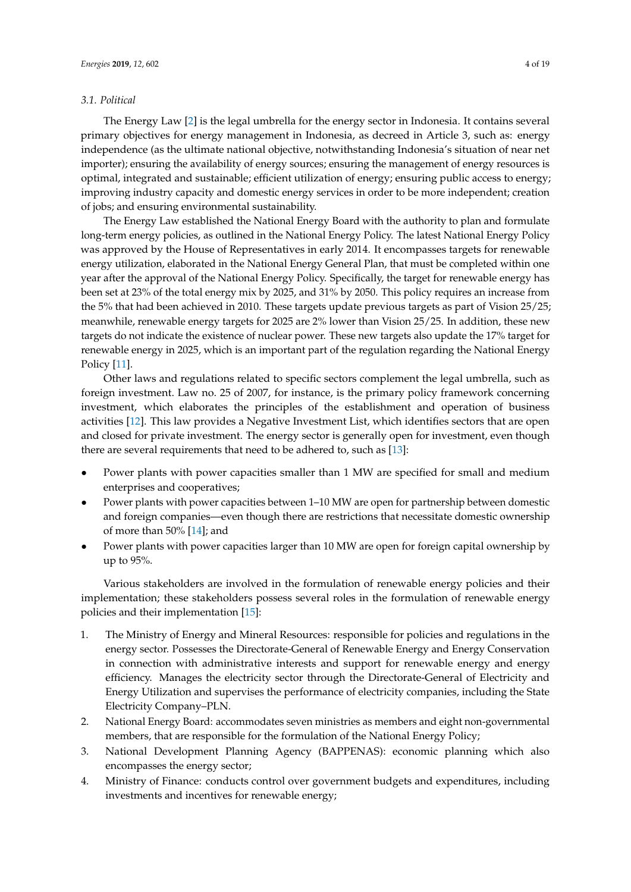## *3.1. Political*

The Energy Law [\[2\]](#page-16-1) is the legal umbrella for the energy sector in Indonesia. It contains several primary objectives for energy management in Indonesia, as decreed in Article 3, such as: energy independence (as the ultimate national objective, notwithstanding Indonesia's situation of near net importer); ensuring the availability of energy sources; ensuring the management of energy resources is optimal, integrated and sustainable; efficient utilization of energy; ensuring public access to energy; improving industry capacity and domestic energy services in order to be more independent; creation of jobs; and ensuring environmental sustainability.

The Energy Law established the National Energy Board with the authority to plan and formulate long-term energy policies, as outlined in the National Energy Policy. The latest National Energy Policy was approved by the House of Representatives in early 2014. It encompasses targets for renewable energy utilization, elaborated in the National Energy General Plan, that must be completed within one year after the approval of the National Energy Policy. Specifically, the target for renewable energy has been set at 23% of the total energy mix by 2025, and 31% by 2050. This policy requires an increase from the 5% that had been achieved in 2010. These targets update previous targets as part of Vision 25/25; meanwhile, renewable energy targets for 2025 are 2% lower than Vision 25/25. In addition, these new targets do not indicate the existence of nuclear power. These new targets also update the 17% target for renewable energy in 2025, which is an important part of the regulation regarding the National Energy Policy [\[11\]](#page-16-9).

Other laws and regulations related to specific sectors complement the legal umbrella, such as foreign investment. Law no. 25 of 2007, for instance, is the primary policy framework concerning investment, which elaborates the principles of the establishment and operation of business activities [\[12\]](#page-16-10). This law provides a Negative Investment List, which identifies sectors that are open and closed for private investment. The energy sector is generally open for investment, even though there are several requirements that need to be adhered to, such as [\[13\]](#page-16-11):

- Power plants with power capacities smaller than 1 MW are specified for small and medium enterprises and cooperatives;
- Power plants with power capacities between 1–10 MW are open for partnership between domestic and foreign companies—even though there are restrictions that necessitate domestic ownership of more than 50% [\[14\]](#page-17-0); and
- Power plants with power capacities larger than 10 MW are open for foreign capital ownership by up to 95%.

Various stakeholders are involved in the formulation of renewable energy policies and their implementation; these stakeholders possess several roles in the formulation of renewable energy policies and their implementation [\[15\]](#page-17-1):

- 1. The Ministry of Energy and Mineral Resources: responsible for policies and regulations in the energy sector. Possesses the Directorate-General of Renewable Energy and Energy Conservation in connection with administrative interests and support for renewable energy and energy efficiency. Manages the electricity sector through the Directorate-General of Electricity and Energy Utilization and supervises the performance of electricity companies, including the State Electricity Company–PLN.
- 2. National Energy Board: accommodates seven ministries as members and eight non-governmental members, that are responsible for the formulation of the National Energy Policy;
- 3. National Development Planning Agency (BAPPENAS): economic planning which also encompasses the energy sector;
- 4. Ministry of Finance: conducts control over government budgets and expenditures, including investments and incentives for renewable energy;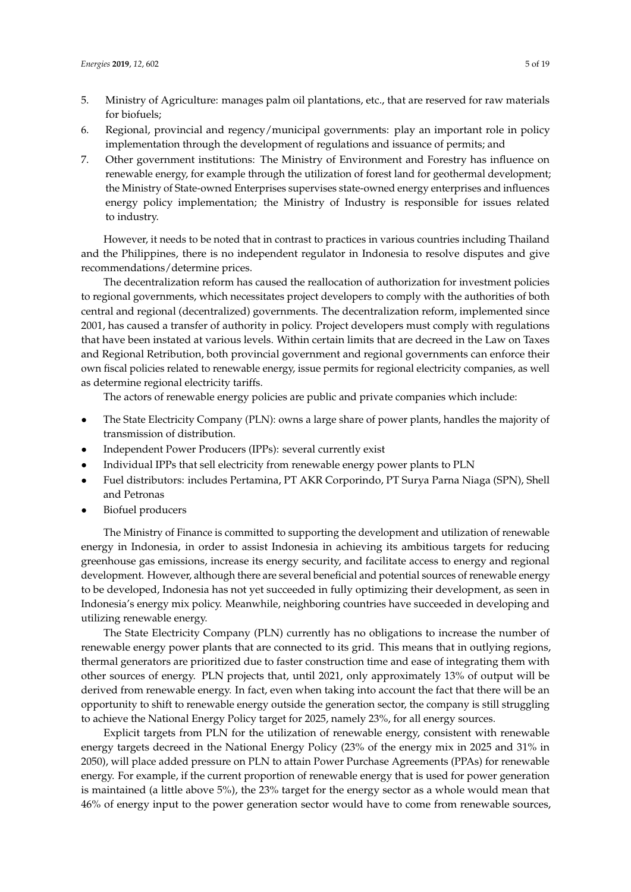- 5. Ministry of Agriculture: manages palm oil plantations, etc., that are reserved for raw materials for biofuels;
- 6. Regional, provincial and regency/municipal governments: play an important role in policy implementation through the development of regulations and issuance of permits; and
- 7. Other government institutions: The Ministry of Environment and Forestry has influence on renewable energy, for example through the utilization of forest land for geothermal development; the Ministry of State-owned Enterprises supervises state-owned energy enterprises and influences energy policy implementation; the Ministry of Industry is responsible for issues related to industry.

However, it needs to be noted that in contrast to practices in various countries including Thailand and the Philippines, there is no independent regulator in Indonesia to resolve disputes and give recommendations/determine prices.

The decentralization reform has caused the reallocation of authorization for investment policies to regional governments, which necessitates project developers to comply with the authorities of both central and regional (decentralized) governments. The decentralization reform, implemented since 2001, has caused a transfer of authority in policy. Project developers must comply with regulations that have been instated at various levels. Within certain limits that are decreed in the Law on Taxes and Regional Retribution, both provincial government and regional governments can enforce their own fiscal policies related to renewable energy, issue permits for regional electricity companies, as well as determine regional electricity tariffs.

The actors of renewable energy policies are public and private companies which include:

- The State Electricity Company (PLN): owns a large share of power plants, handles the majority of transmission of distribution.
- Independent Power Producers (IPPs): several currently exist
- Individual IPPs that sell electricity from renewable energy power plants to PLN
- Fuel distributors: includes Pertamina, PT AKR Corporindo, PT Surya Parna Niaga (SPN), Shell and Petronas
- Biofuel producers

The Ministry of Finance is committed to supporting the development and utilization of renewable energy in Indonesia, in order to assist Indonesia in achieving its ambitious targets for reducing greenhouse gas emissions, increase its energy security, and facilitate access to energy and regional development. However, although there are several beneficial and potential sources of renewable energy to be developed, Indonesia has not yet succeeded in fully optimizing their development, as seen in Indonesia's energy mix policy. Meanwhile, neighboring countries have succeeded in developing and utilizing renewable energy.

The State Electricity Company (PLN) currently has no obligations to increase the number of renewable energy power plants that are connected to its grid. This means that in outlying regions, thermal generators are prioritized due to faster construction time and ease of integrating them with other sources of energy. PLN projects that, until 2021, only approximately 13% of output will be derived from renewable energy. In fact, even when taking into account the fact that there will be an opportunity to shift to renewable energy outside the generation sector, the company is still struggling to achieve the National Energy Policy target for 2025, namely 23%, for all energy sources.

Explicit targets from PLN for the utilization of renewable energy, consistent with renewable energy targets decreed in the National Energy Policy (23% of the energy mix in 2025 and 31% in 2050), will place added pressure on PLN to attain Power Purchase Agreements (PPAs) for renewable energy. For example, if the current proportion of renewable energy that is used for power generation is maintained (a little above 5%), the 23% target for the energy sector as a whole would mean that 46% of energy input to the power generation sector would have to come from renewable sources,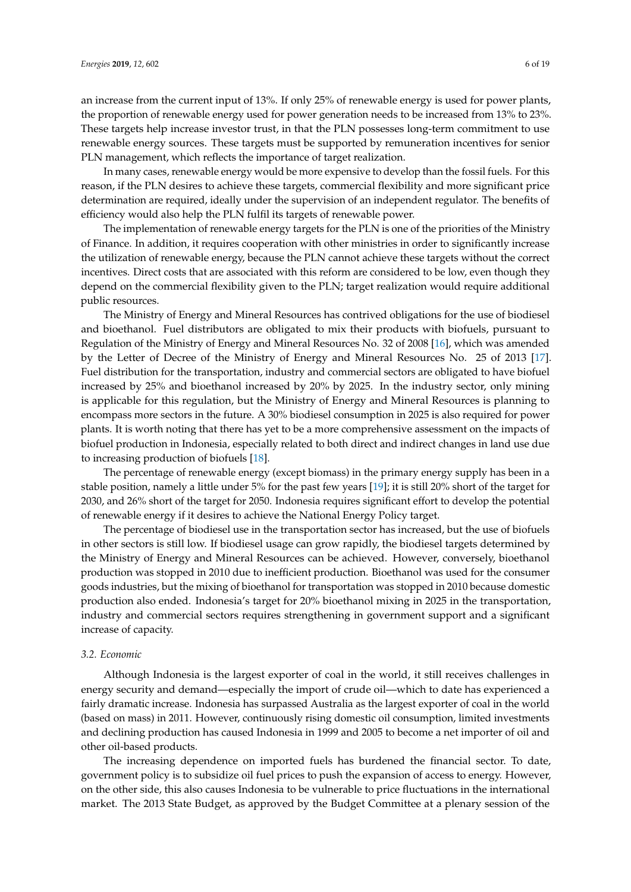an increase from the current input of 13%. If only 25% of renewable energy is used for power plants, the proportion of renewable energy used for power generation needs to be increased from 13% to 23%. These targets help increase investor trust, in that the PLN possesses long-term commitment to use renewable energy sources. These targets must be supported by remuneration incentives for senior PLN management, which reflects the importance of target realization.

In many cases, renewable energy would be more expensive to develop than the fossil fuels. For this reason, if the PLN desires to achieve these targets, commercial flexibility and more significant price determination are required, ideally under the supervision of an independent regulator. The benefits of efficiency would also help the PLN fulfil its targets of renewable power.

The implementation of renewable energy targets for the PLN is one of the priorities of the Ministry of Finance. In addition, it requires cooperation with other ministries in order to significantly increase the utilization of renewable energy, because the PLN cannot achieve these targets without the correct incentives. Direct costs that are associated with this reform are considered to be low, even though they depend on the commercial flexibility given to the PLN; target realization would require additional public resources.

The Ministry of Energy and Mineral Resources has contrived obligations for the use of biodiesel and bioethanol. Fuel distributors are obligated to mix their products with biofuels, pursuant to Regulation of the Ministry of Energy and Mineral Resources No. 32 of 2008 [\[16\]](#page-17-2), which was amended by the Letter of Decree of the Ministry of Energy and Mineral Resources No. 25 of 2013 [\[17\]](#page-17-3). Fuel distribution for the transportation, industry and commercial sectors are obligated to have biofuel increased by 25% and bioethanol increased by 20% by 2025. In the industry sector, only mining is applicable for this regulation, but the Ministry of Energy and Mineral Resources is planning to encompass more sectors in the future. A 30% biodiesel consumption in 2025 is also required for power plants. It is worth noting that there has yet to be a more comprehensive assessment on the impacts of biofuel production in Indonesia, especially related to both direct and indirect changes in land use due to increasing production of biofuels [\[18\]](#page-17-4).

The percentage of renewable energy (except biomass) in the primary energy supply has been in a stable position, namely a little under 5% for the past few years [\[19\]](#page-17-5); it is still 20% short of the target for 2030, and 26% short of the target for 2050. Indonesia requires significant effort to develop the potential of renewable energy if it desires to achieve the National Energy Policy target.

The percentage of biodiesel use in the transportation sector has increased, but the use of biofuels in other sectors is still low. If biodiesel usage can grow rapidly, the biodiesel targets determined by the Ministry of Energy and Mineral Resources can be achieved. However, conversely, bioethanol production was stopped in 2010 due to inefficient production. Bioethanol was used for the consumer goods industries, but the mixing of bioethanol for transportation was stopped in 2010 because domestic production also ended. Indonesia's target for 20% bioethanol mixing in 2025 in the transportation, industry and commercial sectors requires strengthening in government support and a significant increase of capacity.

# *3.2. Economic*

Although Indonesia is the largest exporter of coal in the world, it still receives challenges in energy security and demand—especially the import of crude oil—which to date has experienced a fairly dramatic increase. Indonesia has surpassed Australia as the largest exporter of coal in the world (based on mass) in 2011. However, continuously rising domestic oil consumption, limited investments and declining production has caused Indonesia in 1999 and 2005 to become a net importer of oil and other oil-based products.

The increasing dependence on imported fuels has burdened the financial sector. To date, government policy is to subsidize oil fuel prices to push the expansion of access to energy. However, on the other side, this also causes Indonesia to be vulnerable to price fluctuations in the international market. The 2013 State Budget, as approved by the Budget Committee at a plenary session of the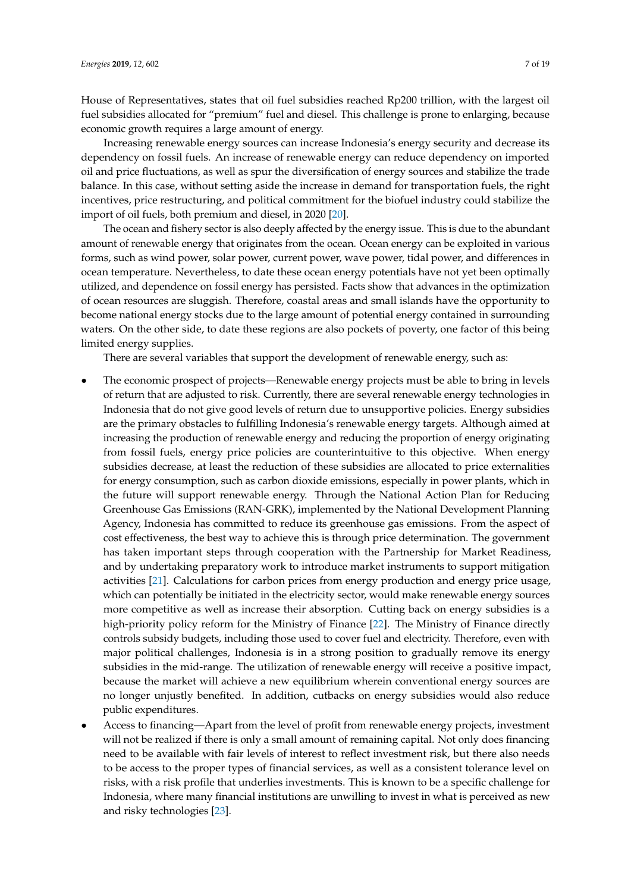House of Representatives, states that oil fuel subsidies reached Rp200 trillion, with the largest oil fuel subsidies allocated for "premium" fuel and diesel. This challenge is prone to enlarging, because economic growth requires a large amount of energy.

Increasing renewable energy sources can increase Indonesia's energy security and decrease its dependency on fossil fuels. An increase of renewable energy can reduce dependency on imported oil and price fluctuations, as well as spur the diversification of energy sources and stabilize the trade balance. In this case, without setting aside the increase in demand for transportation fuels, the right incentives, price restructuring, and political commitment for the biofuel industry could stabilize the import of oil fuels, both premium and diesel, in 2020 [\[20\]](#page-17-6).

The ocean and fishery sector is also deeply affected by the energy issue. This is due to the abundant amount of renewable energy that originates from the ocean. Ocean energy can be exploited in various forms, such as wind power, solar power, current power, wave power, tidal power, and differences in ocean temperature. Nevertheless, to date these ocean energy potentials have not yet been optimally utilized, and dependence on fossil energy has persisted. Facts show that advances in the optimization of ocean resources are sluggish. Therefore, coastal areas and small islands have the opportunity to become national energy stocks due to the large amount of potential energy contained in surrounding waters. On the other side, to date these regions are also pockets of poverty, one factor of this being limited energy supplies.

There are several variables that support the development of renewable energy, such as:

- The economic prospect of projects—Renewable energy projects must be able to bring in levels of return that are adjusted to risk. Currently, there are several renewable energy technologies in Indonesia that do not give good levels of return due to unsupportive policies. Energy subsidies are the primary obstacles to fulfilling Indonesia's renewable energy targets. Although aimed at increasing the production of renewable energy and reducing the proportion of energy originating from fossil fuels, energy price policies are counterintuitive to this objective. When energy subsidies decrease, at least the reduction of these subsidies are allocated to price externalities for energy consumption, such as carbon dioxide emissions, especially in power plants, which in the future will support renewable energy. Through the National Action Plan for Reducing Greenhouse Gas Emissions (RAN-GRK), implemented by the National Development Planning Agency, Indonesia has committed to reduce its greenhouse gas emissions. From the aspect of cost effectiveness, the best way to achieve this is through price determination. The government has taken important steps through cooperation with the Partnership for Market Readiness, and by undertaking preparatory work to introduce market instruments to support mitigation activities [\[21\]](#page-17-7). Calculations for carbon prices from energy production and energy price usage, which can potentially be initiated in the electricity sector, would make renewable energy sources more competitive as well as increase their absorption. Cutting back on energy subsidies is a high-priority policy reform for the Ministry of Finance [\[22\]](#page-17-8). The Ministry of Finance directly controls subsidy budgets, including those used to cover fuel and electricity. Therefore, even with major political challenges, Indonesia is in a strong position to gradually remove its energy subsidies in the mid-range. The utilization of renewable energy will receive a positive impact, because the market will achieve a new equilibrium wherein conventional energy sources are no longer unjustly benefited. In addition, cutbacks on energy subsidies would also reduce public expenditures.
- Access to financing—Apart from the level of profit from renewable energy projects, investment will not be realized if there is only a small amount of remaining capital. Not only does financing need to be available with fair levels of interest to reflect investment risk, but there also needs to be access to the proper types of financial services, as well as a consistent tolerance level on risks, with a risk profile that underlies investments. This is known to be a specific challenge for Indonesia, where many financial institutions are unwilling to invest in what is perceived as new and risky technologies [\[23\]](#page-17-9).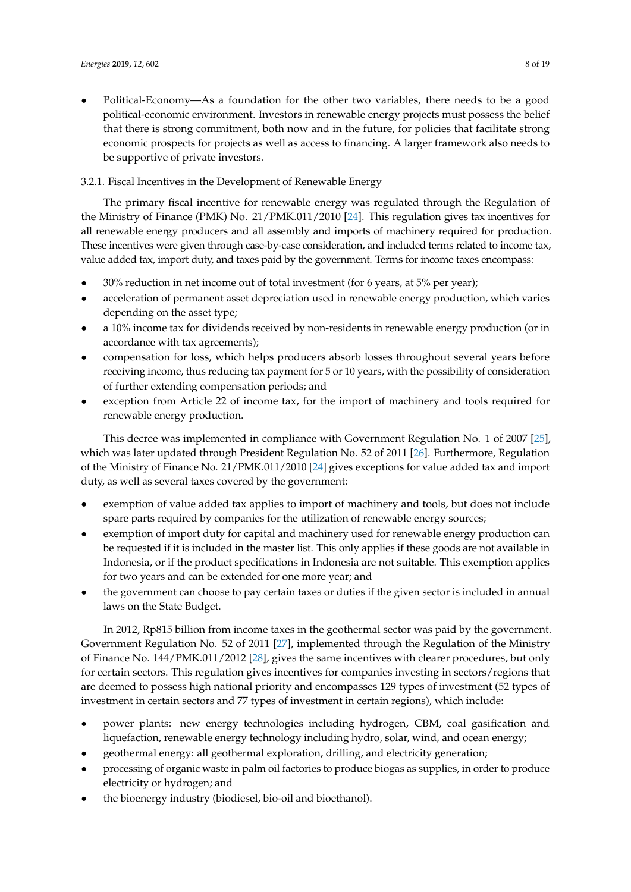• Political-Economy—As a foundation for the other two variables, there needs to be a good political-economic environment. Investors in renewable energy projects must possess the belief that there is strong commitment, both now and in the future, for policies that facilitate strong economic prospects for projects as well as access to financing. A larger framework also needs to be supportive of private investors.

# 3.2.1. Fiscal Incentives in the Development of Renewable Energy

The primary fiscal incentive for renewable energy was regulated through the Regulation of the Ministry of Finance (PMK) No. 21/PMK.011/2010 [\[24\]](#page-17-10). This regulation gives tax incentives for all renewable energy producers and all assembly and imports of machinery required for production. These incentives were given through case-by-case consideration, and included terms related to income tax, value added tax, import duty, and taxes paid by the government. Terms for income taxes encompass:

- 30% reduction in net income out of total investment (for 6 years, at 5% per year);
- acceleration of permanent asset depreciation used in renewable energy production, which varies depending on the asset type;
- a 10% income tax for dividends received by non-residents in renewable energy production (or in accordance with tax agreements);
- compensation for loss, which helps producers absorb losses throughout several years before receiving income, thus reducing tax payment for 5 or 10 years, with the possibility of consideration of further extending compensation periods; and
- exception from Article 22 of income tax, for the import of machinery and tools required for renewable energy production.

This decree was implemented in compliance with Government Regulation No. 1 of 2007 [\[25\]](#page-17-11), which was later updated through President Regulation No. 52 of 2011 [\[26\]](#page-17-12). Furthermore, Regulation of the Ministry of Finance No. 21/PMK.011/2010 [\[24\]](#page-17-10) gives exceptions for value added tax and import duty, as well as several taxes covered by the government:

- exemption of value added tax applies to import of machinery and tools, but does not include spare parts required by companies for the utilization of renewable energy sources;
- exemption of import duty for capital and machinery used for renewable energy production can be requested if it is included in the master list. This only applies if these goods are not available in Indonesia, or if the product specifications in Indonesia are not suitable. This exemption applies for two years and can be extended for one more year; and
- the government can choose to pay certain taxes or duties if the given sector is included in annual laws on the State Budget.

In 2012, Rp815 billion from income taxes in the geothermal sector was paid by the government. Government Regulation No. 52 of 2011 [\[27\]](#page-17-13), implemented through the Regulation of the Ministry of Finance No. 144/PMK.011/2012 [\[28\]](#page-17-14), gives the same incentives with clearer procedures, but only for certain sectors. This regulation gives incentives for companies investing in sectors/regions that are deemed to possess high national priority and encompasses 129 types of investment (52 types of investment in certain sectors and 77 types of investment in certain regions), which include:

- power plants: new energy technologies including hydrogen, CBM, coal gasification and liquefaction, renewable energy technology including hydro, solar, wind, and ocean energy;
- geothermal energy: all geothermal exploration, drilling, and electricity generation;
- processing of organic waste in palm oil factories to produce biogas as supplies, in order to produce electricity or hydrogen; and
- the bioenergy industry (biodiesel, bio-oil and bioethanol).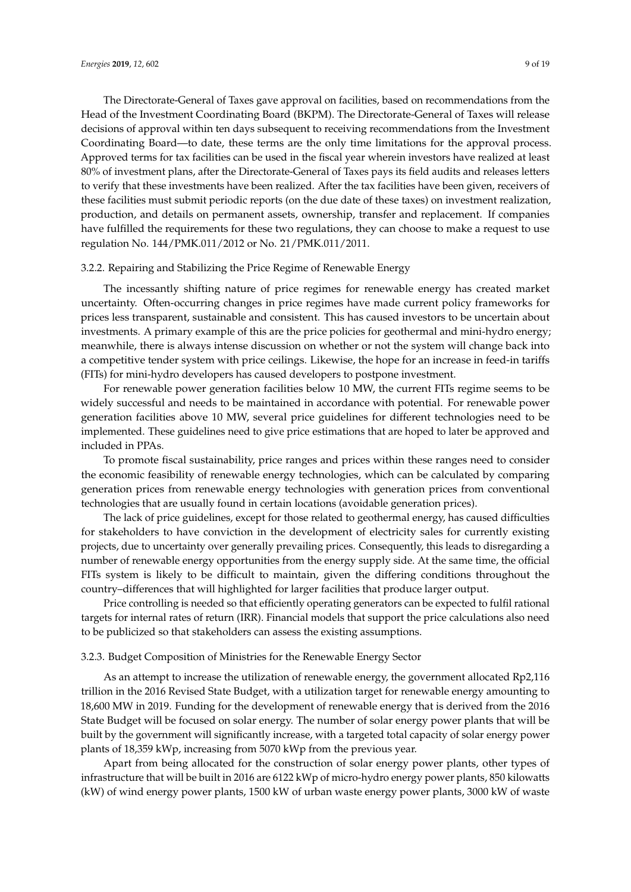The Directorate-General of Taxes gave approval on facilities, based on recommendations from the Head of the Investment Coordinating Board (BKPM). The Directorate-General of Taxes will release decisions of approval within ten days subsequent to receiving recommendations from the Investment Coordinating Board—to date, these terms are the only time limitations for the approval process. Approved terms for tax facilities can be used in the fiscal year wherein investors have realized at least 80% of investment plans, after the Directorate-General of Taxes pays its field audits and releases letters to verify that these investments have been realized. After the tax facilities have been given, receivers of these facilities must submit periodic reports (on the due date of these taxes) on investment realization, production, and details on permanent assets, ownership, transfer and replacement. If companies have fulfilled the requirements for these two regulations, they can choose to make a request to use regulation No. 144/PMK.011/2012 or No. 21/PMK.011/2011.

# 3.2.2. Repairing and Stabilizing the Price Regime of Renewable Energy

The incessantly shifting nature of price regimes for renewable energy has created market uncertainty. Often-occurring changes in price regimes have made current policy frameworks for prices less transparent, sustainable and consistent. This has caused investors to be uncertain about investments. A primary example of this are the price policies for geothermal and mini-hydro energy; meanwhile, there is always intense discussion on whether or not the system will change back into a competitive tender system with price ceilings. Likewise, the hope for an increase in feed-in tariffs (FITs) for mini-hydro developers has caused developers to postpone investment.

For renewable power generation facilities below 10 MW, the current FITs regime seems to be widely successful and needs to be maintained in accordance with potential. For renewable power generation facilities above 10 MW, several price guidelines for different technologies need to be implemented. These guidelines need to give price estimations that are hoped to later be approved and included in PPAs.

To promote fiscal sustainability, price ranges and prices within these ranges need to consider the economic feasibility of renewable energy technologies, which can be calculated by comparing generation prices from renewable energy technologies with generation prices from conventional technologies that are usually found in certain locations (avoidable generation prices).

The lack of price guidelines, except for those related to geothermal energy, has caused difficulties for stakeholders to have conviction in the development of electricity sales for currently existing projects, due to uncertainty over generally prevailing prices. Consequently, this leads to disregarding a number of renewable energy opportunities from the energy supply side. At the same time, the official FITs system is likely to be difficult to maintain, given the differing conditions throughout the country–differences that will highlighted for larger facilities that produce larger output.

Price controlling is needed so that efficiently operating generators can be expected to fulfil rational targets for internal rates of return (IRR). Financial models that support the price calculations also need to be publicized so that stakeholders can assess the existing assumptions.

## 3.2.3. Budget Composition of Ministries for the Renewable Energy Sector

As an attempt to increase the utilization of renewable energy, the government allocated Rp2,116 trillion in the 2016 Revised State Budget, with a utilization target for renewable energy amounting to 18,600 MW in 2019. Funding for the development of renewable energy that is derived from the 2016 State Budget will be focused on solar energy. The number of solar energy power plants that will be built by the government will significantly increase, with a targeted total capacity of solar energy power plants of 18,359 kWp, increasing from 5070 kWp from the previous year.

Apart from being allocated for the construction of solar energy power plants, other types of infrastructure that will be built in 2016 are 6122 kWp of micro-hydro energy power plants, 850 kilowatts (kW) of wind energy power plants, 1500 kW of urban waste energy power plants, 3000 kW of waste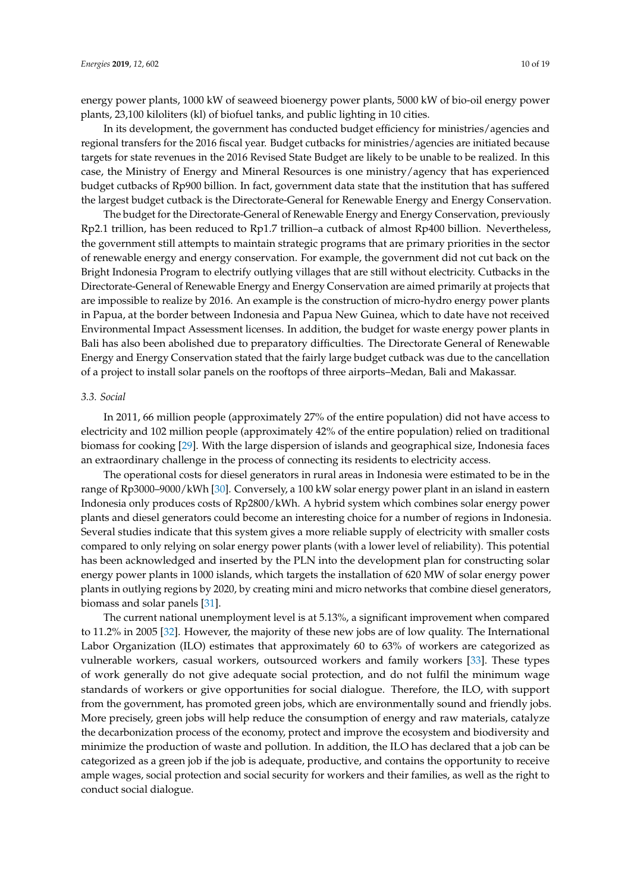energy power plants, 1000 kW of seaweed bioenergy power plants, 5000 kW of bio-oil energy power plants, 23,100 kiloliters (kl) of biofuel tanks, and public lighting in 10 cities.

In its development, the government has conducted budget efficiency for ministries/agencies and regional transfers for the 2016 fiscal year. Budget cutbacks for ministries/agencies are initiated because targets for state revenues in the 2016 Revised State Budget are likely to be unable to be realized. In this case, the Ministry of Energy and Mineral Resources is one ministry/agency that has experienced budget cutbacks of Rp900 billion. In fact, government data state that the institution that has suffered the largest budget cutback is the Directorate-General for Renewable Energy and Energy Conservation.

The budget for the Directorate-General of Renewable Energy and Energy Conservation, previously Rp2.1 trillion, has been reduced to Rp1.7 trillion–a cutback of almost Rp400 billion. Nevertheless, the government still attempts to maintain strategic programs that are primary priorities in the sector of renewable energy and energy conservation. For example, the government did not cut back on the Bright Indonesia Program to electrify outlying villages that are still without electricity. Cutbacks in the Directorate-General of Renewable Energy and Energy Conservation are aimed primarily at projects that are impossible to realize by 2016. An example is the construction of micro-hydro energy power plants in Papua, at the border between Indonesia and Papua New Guinea, which to date have not received Environmental Impact Assessment licenses. In addition, the budget for waste energy power plants in Bali has also been abolished due to preparatory difficulties. The Directorate General of Renewable Energy and Energy Conservation stated that the fairly large budget cutback was due to the cancellation of a project to install solar panels on the rooftops of three airports–Medan, Bali and Makassar.

#### *3.3. Social*

In 2011, 66 million people (approximately 27% of the entire population) did not have access to electricity and 102 million people (approximately 42% of the entire population) relied on traditional biomass for cooking [\[29\]](#page-17-15). With the large dispersion of islands and geographical size, Indonesia faces an extraordinary challenge in the process of connecting its residents to electricity access.

The operational costs for diesel generators in rural areas in Indonesia were estimated to be in the range of Rp3000–9000/kWh [\[30\]](#page-17-16). Conversely, a 100 kW solar energy power plant in an island in eastern Indonesia only produces costs of Rp2800/kWh. A hybrid system which combines solar energy power plants and diesel generators could become an interesting choice for a number of regions in Indonesia. Several studies indicate that this system gives a more reliable supply of electricity with smaller costs compared to only relying on solar energy power plants (with a lower level of reliability). This potential has been acknowledged and inserted by the PLN into the development plan for constructing solar energy power plants in 1000 islands, which targets the installation of 620 MW of solar energy power plants in outlying regions by 2020, by creating mini and micro networks that combine diesel generators, biomass and solar panels [\[31\]](#page-18-0).

The current national unemployment level is at 5.13%, a significant improvement when compared to 11.2% in 2005 [\[32\]](#page-18-1). However, the majority of these new jobs are of low quality. The International Labor Organization (ILO) estimates that approximately 60 to 63% of workers are categorized as vulnerable workers, casual workers, outsourced workers and family workers [\[33\]](#page-18-2). These types of work generally do not give adequate social protection, and do not fulfil the minimum wage standards of workers or give opportunities for social dialogue. Therefore, the ILO, with support from the government, has promoted green jobs, which are environmentally sound and friendly jobs. More precisely, green jobs will help reduce the consumption of energy and raw materials, catalyze the decarbonization process of the economy, protect and improve the ecosystem and biodiversity and minimize the production of waste and pollution. In addition, the ILO has declared that a job can be categorized as a green job if the job is adequate, productive, and contains the opportunity to receive ample wages, social protection and social security for workers and their families, as well as the right to conduct social dialogue.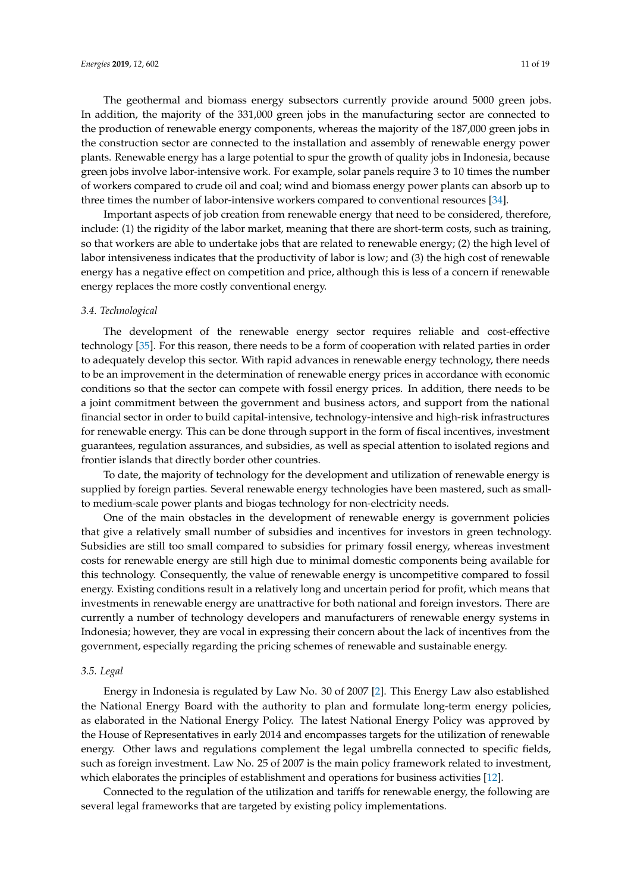The geothermal and biomass energy subsectors currently provide around 5000 green jobs. In addition, the majority of the 331,000 green jobs in the manufacturing sector are connected to the production of renewable energy components, whereas the majority of the 187,000 green jobs in the construction sector are connected to the installation and assembly of renewable energy power plants. Renewable energy has a large potential to spur the growth of quality jobs in Indonesia, because green jobs involve labor-intensive work. For example, solar panels require 3 to 10 times the number of workers compared to crude oil and coal; wind and biomass energy power plants can absorb up to three times the number of labor-intensive workers compared to conventional resources [\[34\]](#page-18-3).

Important aspects of job creation from renewable energy that need to be considered, therefore, include: (1) the rigidity of the labor market, meaning that there are short-term costs, such as training, so that workers are able to undertake jobs that are related to renewable energy; (2) the high level of labor intensiveness indicates that the productivity of labor is low; and (3) the high cost of renewable energy has a negative effect on competition and price, although this is less of a concern if renewable energy replaces the more costly conventional energy.

#### *3.4. Technological*

The development of the renewable energy sector requires reliable and cost-effective technology [\[35\]](#page-18-4). For this reason, there needs to be a form of cooperation with related parties in order to adequately develop this sector. With rapid advances in renewable energy technology, there needs to be an improvement in the determination of renewable energy prices in accordance with economic conditions so that the sector can compete with fossil energy prices. In addition, there needs to be a joint commitment between the government and business actors, and support from the national financial sector in order to build capital-intensive, technology-intensive and high-risk infrastructures for renewable energy. This can be done through support in the form of fiscal incentives, investment guarantees, regulation assurances, and subsidies, as well as special attention to isolated regions and frontier islands that directly border other countries.

To date, the majority of technology for the development and utilization of renewable energy is supplied by foreign parties. Several renewable energy technologies have been mastered, such as smallto medium-scale power plants and biogas technology for non-electricity needs.

One of the main obstacles in the development of renewable energy is government policies that give a relatively small number of subsidies and incentives for investors in green technology. Subsidies are still too small compared to subsidies for primary fossil energy, whereas investment costs for renewable energy are still high due to minimal domestic components being available for this technology. Consequently, the value of renewable energy is uncompetitive compared to fossil energy. Existing conditions result in a relatively long and uncertain period for profit, which means that investments in renewable energy are unattractive for both national and foreign investors. There are currently a number of technology developers and manufacturers of renewable energy systems in Indonesia; however, they are vocal in expressing their concern about the lack of incentives from the government, especially regarding the pricing schemes of renewable and sustainable energy.

#### *3.5. Legal*

Energy in Indonesia is regulated by Law No. 30 of 2007 [\[2\]](#page-16-1). This Energy Law also established the National Energy Board with the authority to plan and formulate long-term energy policies, as elaborated in the National Energy Policy. The latest National Energy Policy was approved by the House of Representatives in early 2014 and encompasses targets for the utilization of renewable energy. Other laws and regulations complement the legal umbrella connected to specific fields, such as foreign investment. Law No. 25 of 2007 is the main policy framework related to investment, which elaborates the principles of establishment and operations for business activities [\[12\]](#page-16-10).

Connected to the regulation of the utilization and tariffs for renewable energy, the following are several legal frameworks that are targeted by existing policy implementations.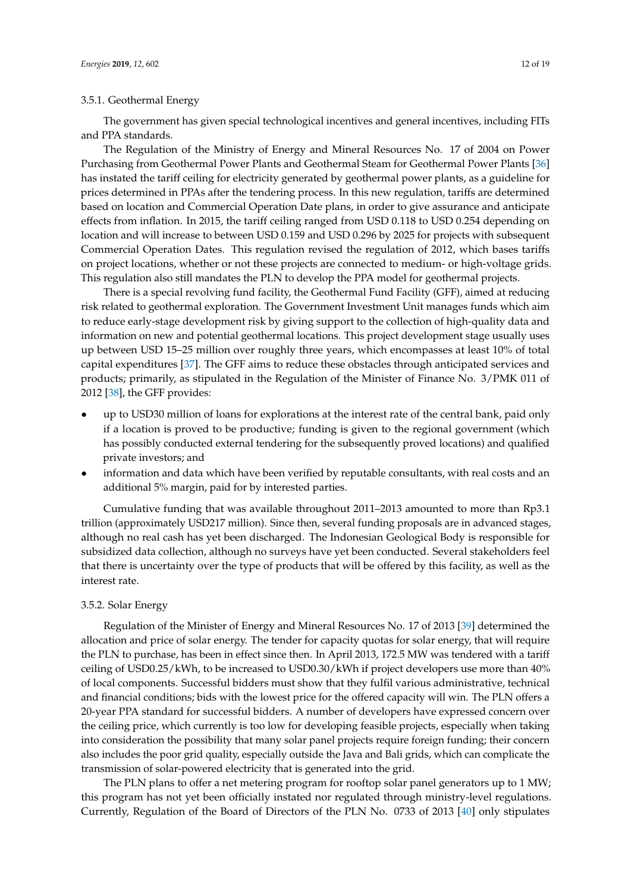#### 3.5.1. Geothermal Energy

The government has given special technological incentives and general incentives, including FITs and PPA standards.

The Regulation of the Ministry of Energy and Mineral Resources No. 17 of 2004 on Power Purchasing from Geothermal Power Plants and Geothermal Steam for Geothermal Power Plants [\[36\]](#page-18-5) has instated the tariff ceiling for electricity generated by geothermal power plants, as a guideline for prices determined in PPAs after the tendering process. In this new regulation, tariffs are determined based on location and Commercial Operation Date plans, in order to give assurance and anticipate effects from inflation. In 2015, the tariff ceiling ranged from USD 0.118 to USD 0.254 depending on location and will increase to between USD 0.159 and USD 0.296 by 2025 for projects with subsequent Commercial Operation Dates. This regulation revised the regulation of 2012, which bases tariffs on project locations, whether or not these projects are connected to medium- or high-voltage grids. This regulation also still mandates the PLN to develop the PPA model for geothermal projects.

There is a special revolving fund facility, the Geothermal Fund Facility (GFF), aimed at reducing risk related to geothermal exploration. The Government Investment Unit manages funds which aim to reduce early-stage development risk by giving support to the collection of high-quality data and information on new and potential geothermal locations. This project development stage usually uses up between USD 15–25 million over roughly three years, which encompasses at least 10% of total capital expenditures [\[37\]](#page-18-6). The GFF aims to reduce these obstacles through anticipated services and products; primarily, as stipulated in the Regulation of the Minister of Finance No. 3/PMK 011 of 2012 [\[38\]](#page-18-7), the GFF provides:

- up to USD30 million of loans for explorations at the interest rate of the central bank, paid only if a location is proved to be productive; funding is given to the regional government (which has possibly conducted external tendering for the subsequently proved locations) and qualified private investors; and
- information and data which have been verified by reputable consultants, with real costs and an additional 5% margin, paid for by interested parties.

Cumulative funding that was available throughout 2011–2013 amounted to more than Rp3.1 trillion (approximately USD217 million). Since then, several funding proposals are in advanced stages, although no real cash has yet been discharged. The Indonesian Geological Body is responsible for subsidized data collection, although no surveys have yet been conducted. Several stakeholders feel that there is uncertainty over the type of products that will be offered by this facility, as well as the interest rate.

#### 3.5.2. Solar Energy

Regulation of the Minister of Energy and Mineral Resources No. 17 of 2013 [\[39\]](#page-18-8) determined the allocation and price of solar energy. The tender for capacity quotas for solar energy, that will require the PLN to purchase, has been in effect since then. In April 2013, 172.5 MW was tendered with a tariff ceiling of USD0.25/kWh, to be increased to USD0.30/kWh if project developers use more than 40% of local components. Successful bidders must show that they fulfil various administrative, technical and financial conditions; bids with the lowest price for the offered capacity will win. The PLN offers a 20-year PPA standard for successful bidders. A number of developers have expressed concern over the ceiling price, which currently is too low for developing feasible projects, especially when taking into consideration the possibility that many solar panel projects require foreign funding; their concern also includes the poor grid quality, especially outside the Java and Bali grids, which can complicate the transmission of solar-powered electricity that is generated into the grid.

The PLN plans to offer a net metering program for rooftop solar panel generators up to 1 MW; this program has not yet been officially instated nor regulated through ministry-level regulations. Currently, Regulation of the Board of Directors of the PLN No. 0733 of 2013 [\[40\]](#page-18-9) only stipulates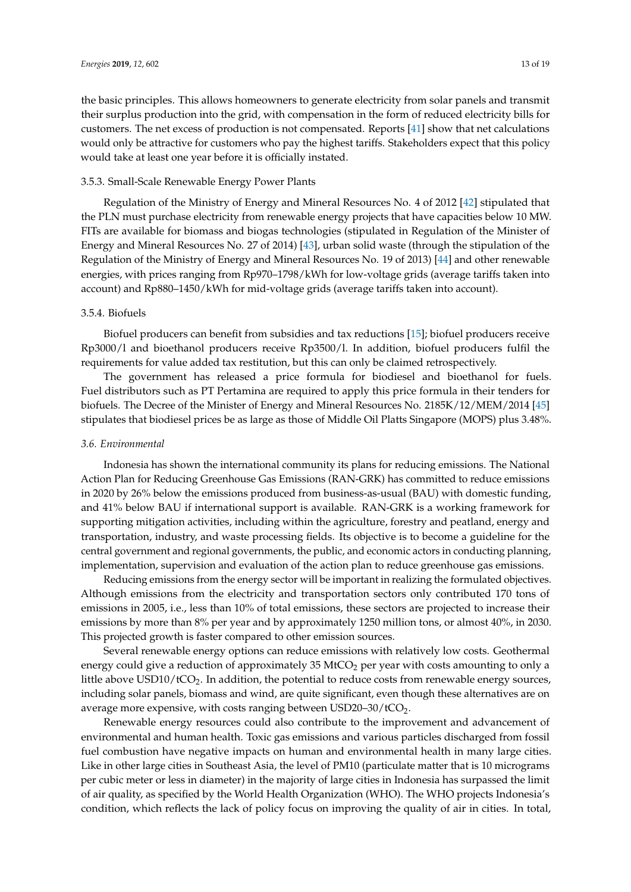the basic principles. This allows homeowners to generate electricity from solar panels and transmit their surplus production into the grid, with compensation in the form of reduced electricity bills for customers. The net excess of production is not compensated. Reports [\[41\]](#page-18-10) show that net calculations would only be attractive for customers who pay the highest tariffs. Stakeholders expect that this policy would take at least one year before it is officially instated.

#### 3.5.3. Small-Scale Renewable Energy Power Plants

Regulation of the Ministry of Energy and Mineral Resources No. 4 of 2012 [\[42\]](#page-18-11) stipulated that the PLN must purchase electricity from renewable energy projects that have capacities below 10 MW. FITs are available for biomass and biogas technologies (stipulated in Regulation of the Minister of Energy and Mineral Resources No. 27 of 2014) [\[43\]](#page-18-12), urban solid waste (through the stipulation of the Regulation of the Ministry of Energy and Mineral Resources No. 19 of 2013) [\[44\]](#page-18-13) and other renewable energies, with prices ranging from Rp970–1798/kWh for low-voltage grids (average tariffs taken into account) and Rp880–1450/kWh for mid-voltage grids (average tariffs taken into account).

# 3.5.4. Biofuels

Biofuel producers can benefit from subsidies and tax reductions [\[15\]](#page-17-1); biofuel producers receive Rp3000/l and bioethanol producers receive Rp3500/l. In addition, biofuel producers fulfil the requirements for value added tax restitution, but this can only be claimed retrospectively.

The government has released a price formula for biodiesel and bioethanol for fuels. Fuel distributors such as PT Pertamina are required to apply this price formula in their tenders for biofuels. The Decree of the Minister of Energy and Mineral Resources No. 2185K/12/MEM/2014 [\[45\]](#page-18-14) stipulates that biodiesel prices be as large as those of Middle Oil Platts Singapore (MOPS) plus 3.48%.

#### *3.6. Environmental*

Indonesia has shown the international community its plans for reducing emissions. The National Action Plan for Reducing Greenhouse Gas Emissions (RAN-GRK) has committed to reduce emissions in 2020 by 26% below the emissions produced from business-as-usual (BAU) with domestic funding, and 41% below BAU if international support is available. RAN-GRK is a working framework for supporting mitigation activities, including within the agriculture, forestry and peatland, energy and transportation, industry, and waste processing fields. Its objective is to become a guideline for the central government and regional governments, the public, and economic actors in conducting planning, implementation, supervision and evaluation of the action plan to reduce greenhouse gas emissions.

Reducing emissions from the energy sector will be important in realizing the formulated objectives. Although emissions from the electricity and transportation sectors only contributed 170 tons of emissions in 2005, i.e., less than 10% of total emissions, these sectors are projected to increase their emissions by more than 8% per year and by approximately 1250 million tons, or almost 40%, in 2030. This projected growth is faster compared to other emission sources.

Several renewable energy options can reduce emissions with relatively low costs. Geothermal energy could give a reduction of approximately  $35$  MtCO<sub>2</sub> per year with costs amounting to only a little above USD10/tCO<sub>2</sub>. In addition, the potential to reduce costs from renewable energy sources, including solar panels, biomass and wind, are quite significant, even though these alternatives are on average more expensive, with costs ranging between USD20-30/tCO<sub>2</sub>.

Renewable energy resources could also contribute to the improvement and advancement of environmental and human health. Toxic gas emissions and various particles discharged from fossil fuel combustion have negative impacts on human and environmental health in many large cities. Like in other large cities in Southeast Asia, the level of PM10 (particulate matter that is 10 micrograms per cubic meter or less in diameter) in the majority of large cities in Indonesia has surpassed the limit of air quality, as specified by the World Health Organization (WHO). The WHO projects Indonesia's condition, which reflects the lack of policy focus on improving the quality of air in cities. In total,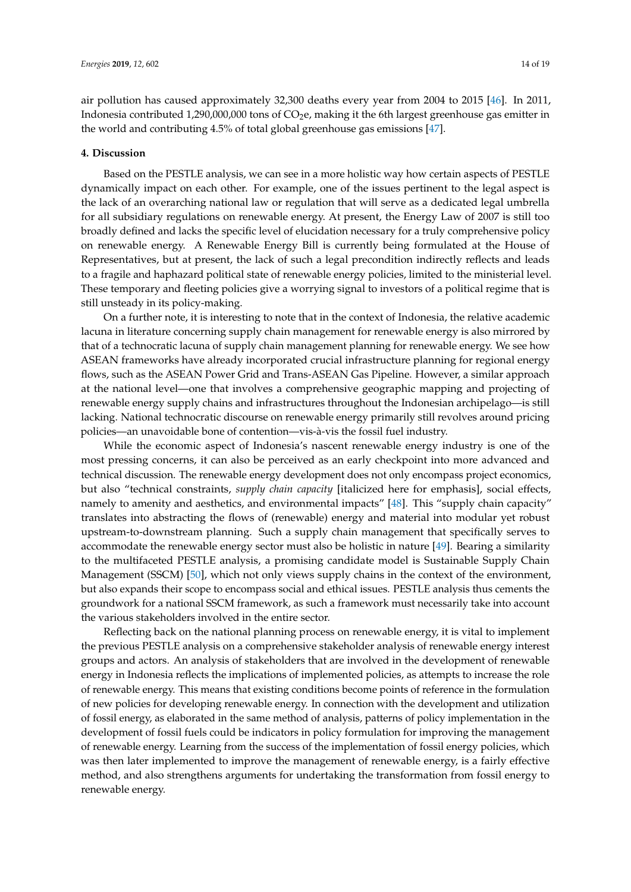air pollution has caused approximately 32,300 deaths every year from 2004 to 2015 [\[46\]](#page-18-15). In 2011, Indonesia contributed 1,290,000,000 tons of  $CO<sub>2</sub>e$ , making it the 6th largest greenhouse gas emitter in the world and contributing 4.5% of total global greenhouse gas emissions [\[47\]](#page-18-16).

#### **4. Discussion**

Based on the PESTLE analysis, we can see in a more holistic way how certain aspects of PESTLE dynamically impact on each other. For example, one of the issues pertinent to the legal aspect is the lack of an overarching national law or regulation that will serve as a dedicated legal umbrella for all subsidiary regulations on renewable energy. At present, the Energy Law of 2007 is still too broadly defined and lacks the specific level of elucidation necessary for a truly comprehensive policy on renewable energy. A Renewable Energy Bill is currently being formulated at the House of Representatives, but at present, the lack of such a legal precondition indirectly reflects and leads to a fragile and haphazard political state of renewable energy policies, limited to the ministerial level. These temporary and fleeting policies give a worrying signal to investors of a political regime that is still unsteady in its policy-making.

On a further note, it is interesting to note that in the context of Indonesia, the relative academic lacuna in literature concerning supply chain management for renewable energy is also mirrored by that of a technocratic lacuna of supply chain management planning for renewable energy. We see how ASEAN frameworks have already incorporated crucial infrastructure planning for regional energy flows, such as the ASEAN Power Grid and Trans-ASEAN Gas Pipeline. However, a similar approach at the national level—one that involves a comprehensive geographic mapping and projecting of renewable energy supply chains and infrastructures throughout the Indonesian archipelago—is still lacking. National technocratic discourse on renewable energy primarily still revolves around pricing policies—an unavoidable bone of contention—vis-à-vis the fossil fuel industry.

While the economic aspect of Indonesia's nascent renewable energy industry is one of the most pressing concerns, it can also be perceived as an early checkpoint into more advanced and technical discussion. The renewable energy development does not only encompass project economics, but also "technical constraints, *supply chain capacity* [italicized here for emphasis], social effects, namely to amenity and aesthetics, and environmental impacts" [\[48\]](#page-18-17). This "supply chain capacity" translates into abstracting the flows of (renewable) energy and material into modular yet robust upstream-to-downstream planning. Such a supply chain management that specifically serves to accommodate the renewable energy sector must also be holistic in nature [\[49\]](#page-19-0). Bearing a similarity to the multifaceted PESTLE analysis, a promising candidate model is Sustainable Supply Chain Management (SSCM) [\[50\]](#page-19-1), which not only views supply chains in the context of the environment, but also expands their scope to encompass social and ethical issues. PESTLE analysis thus cements the groundwork for a national SSCM framework, as such a framework must necessarily take into account the various stakeholders involved in the entire sector.

Reflecting back on the national planning process on renewable energy, it is vital to implement the previous PESTLE analysis on a comprehensive stakeholder analysis of renewable energy interest groups and actors. An analysis of stakeholders that are involved in the development of renewable energy in Indonesia reflects the implications of implemented policies, as attempts to increase the role of renewable energy. This means that existing conditions become points of reference in the formulation of new policies for developing renewable energy. In connection with the development and utilization of fossil energy, as elaborated in the same method of analysis, patterns of policy implementation in the development of fossil fuels could be indicators in policy formulation for improving the management of renewable energy. Learning from the success of the implementation of fossil energy policies, which was then later implemented to improve the management of renewable energy, is a fairly effective method, and also strengthens arguments for undertaking the transformation from fossil energy to renewable energy.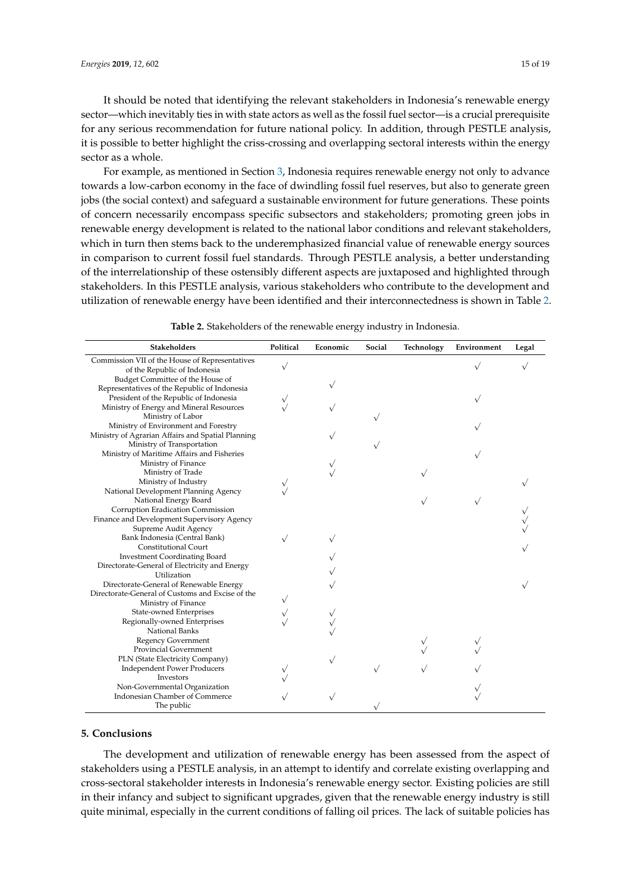It should be noted that identifying the relevant stakeholders in Indonesia's renewable energy sector—which inevitably ties in with state actors as well as the fossil fuel sector—is a crucial prerequisite for any serious recommendation for future national policy. In addition, through PESTLE analysis, it is possible to better highlight the criss-crossing and overlapping sectoral interests within the energy sector as a whole.

For example, as mentioned in Section [3,](#page-3-1) Indonesia requires renewable energy not only to advance towards a low-carbon economy in the face of dwindling fossil fuel reserves, but also to generate green jobs (the social context) and safeguard a sustainable environment for future generations. These points of concern necessarily encompass specific subsectors and stakeholders; promoting green jobs in renewable energy development is related to the national labor conditions and relevant stakeholders, which in turn then stems back to the underemphasized financial value of renewable energy sources in comparison to current fossil fuel standards. Through PESTLE analysis, a better understanding of the interrelationship of these ostensibly different aspects are juxtaposed and highlighted through stakeholders. In this PESTLE analysis, various stakeholders who contribute to the development and utilization of renewable energy have been identified and their interconnectedness is shown in Table [2.](#page-15-0)

<span id="page-15-0"></span>

| <b>Stakeholders</b>                                                            | Political | Economic | Social | Technology | Environment | Legal |
|--------------------------------------------------------------------------------|-----------|----------|--------|------------|-------------|-------|
| Commission VII of the House of Representatives<br>of the Republic of Indonesia |           |          |        |            |             |       |
| Budget Committee of the House of                                               |           |          |        |            |             |       |
| Representatives of the Republic of Indonesia                                   |           |          |        |            |             |       |
| President of the Republic of Indonesia                                         |           |          |        |            |             |       |
| Ministry of Energy and Mineral Resources<br>Ministry of Labor                  |           |          |        |            |             |       |
| Ministry of Environment and Forestry                                           |           |          |        |            |             |       |
| Ministry of Agrarian Affairs and Spatial Planning                              |           |          |        |            |             |       |
| Ministry of Transportation                                                     |           |          |        |            |             |       |
| Ministry of Maritime Affairs and Fisheries                                     |           |          |        |            |             |       |
| Ministry of Finance                                                            |           |          |        |            |             |       |
| Ministry of Trade                                                              |           |          |        |            |             |       |
| Ministry of Industry                                                           |           |          |        |            |             |       |
| National Development Planning Agency                                           |           |          |        |            |             |       |
| National Energy Board                                                          |           |          |        |            |             |       |
| Corruption Eradication Commission                                              |           |          |        |            |             |       |
| Finance and Development Supervisory Agency                                     |           |          |        |            |             |       |
| Supreme Audit Agency                                                           |           |          |        |            |             |       |
| Bank Indonesia (Central Bank)                                                  |           |          |        |            |             |       |
| <b>Constitutional Court</b>                                                    |           |          |        |            |             |       |
| <b>Investment Coordinating Board</b>                                           |           |          |        |            |             |       |
| Directorate-General of Electricity and Energy                                  |           |          |        |            |             |       |
| Utilization                                                                    |           |          |        |            |             |       |
| Directorate-General of Renewable Energy                                        |           |          |        |            |             |       |
| Directorate-General of Customs and Excise of the                               |           |          |        |            |             |       |
| Ministry of Finance                                                            |           |          |        |            |             |       |
| State-owned Enterprises                                                        |           |          |        |            |             |       |
| Regionally-owned Enterprises                                                   |           |          |        |            |             |       |
| National Banks                                                                 |           |          |        |            |             |       |
| Regency Government                                                             |           |          |        |            |             |       |
| Provincial Government                                                          |           |          |        |            |             |       |
| PLN (State Electricity Company)                                                |           |          |        |            |             |       |
| <b>Independent Power Producers</b>                                             |           |          |        |            |             |       |
| Investors                                                                      |           |          |        |            |             |       |
| Non-Governmental Organization                                                  |           |          |        |            |             |       |
| Indonesian Chamber of Commerce                                                 |           |          |        |            |             |       |
| The public                                                                     |           |          |        |            |             |       |

**Table 2.** Stakeholders of the renewable energy industry in Indonesia.

#### **5. Conclusions**

The development and utilization of renewable energy has been assessed from the aspect of stakeholders using a PESTLE analysis, in an attempt to identify and correlate existing overlapping and cross-sectoral stakeholder interests in Indonesia's renewable energy sector. Existing policies are still in their infancy and subject to significant upgrades, given that the renewable energy industry is still quite minimal, especially in the current conditions of falling oil prices. The lack of suitable policies has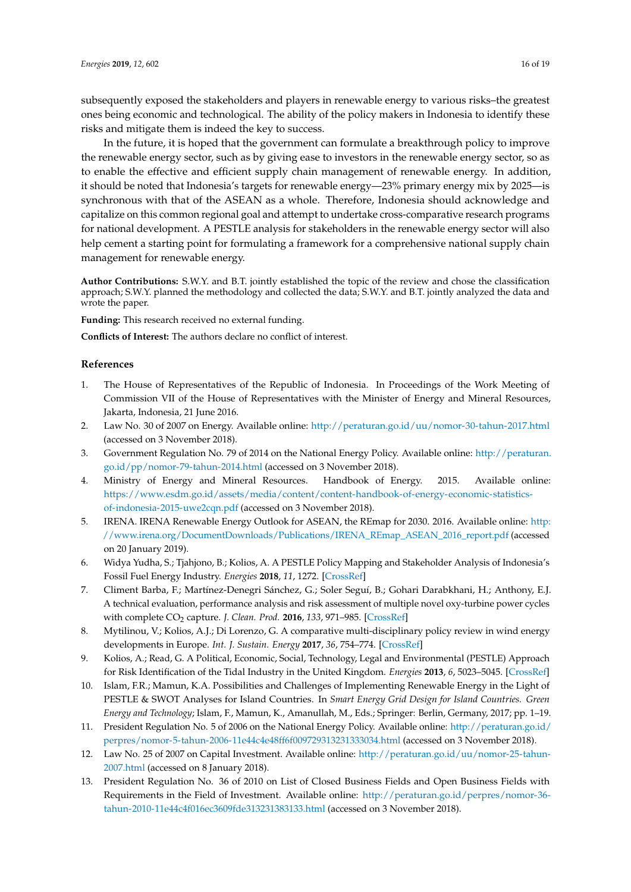subsequently exposed the stakeholders and players in renewable energy to various risks–the greatest ones being economic and technological. The ability of the policy makers in Indonesia to identify these risks and mitigate them is indeed the key to success.

In the future, it is hoped that the government can formulate a breakthrough policy to improve the renewable energy sector, such as by giving ease to investors in the renewable energy sector, so as to enable the effective and efficient supply chain management of renewable energy. In addition, it should be noted that Indonesia's targets for renewable energy—23% primary energy mix by 2025—is synchronous with that of the ASEAN as a whole. Therefore, Indonesia should acknowledge and capitalize on this common regional goal and attempt to undertake cross-comparative research programs for national development. A PESTLE analysis for stakeholders in the renewable energy sector will also help cement a starting point for formulating a framework for a comprehensive national supply chain management for renewable energy.

**Author Contributions:** S.W.Y. and B.T. jointly established the topic of the review and chose the classification approach; S.W.Y. planned the methodology and collected the data; S.W.Y. and B.T. jointly analyzed the data and wrote the paper.

**Funding:** This research received no external funding.

**Conflicts of Interest:** The authors declare no conflict of interest.

#### **References**

- <span id="page-16-0"></span>1. The House of Representatives of the Republic of Indonesia. In Proceedings of the Work Meeting of Commission VII of the House of Representatives with the Minister of Energy and Mineral Resources, Jakarta, Indonesia, 21 June 2016.
- <span id="page-16-1"></span>2. Law No. 30 of 2007 on Energy. Available online: <http://peraturan.go.id/uu/nomor-30-tahun-2017.html> (accessed on 3 November 2018).
- <span id="page-16-2"></span>3. Government Regulation No. 79 of 2014 on the National Energy Policy. Available online: [http://peraturan.](http://peraturan.go.id/pp/nomor-79-tahun-2014.html) [go.id/pp/nomor-79-tahun-2014.html](http://peraturan.go.id/pp/nomor-79-tahun-2014.html) (accessed on 3 November 2018).
- <span id="page-16-3"></span>4. Ministry of Energy and Mineral Resources. Handbook of Energy. 2015. Available online: [https://www.esdm.go.id/assets/media/content/content-handbook-of-energy-economic-statistics](https://www.esdm.go.id/assets/media/content/content-handbook-of-energy-economic-statistics-of-indonesia-2015-uwe2cqn.pdf)[of-indonesia-2015-uwe2cqn.pdf](https://www.esdm.go.id/assets/media/content/content-handbook-of-energy-economic-statistics-of-indonesia-2015-uwe2cqn.pdf) (accessed on 3 November 2018).
- <span id="page-16-4"></span>5. IRENA. IRENA Renewable Energy Outlook for ASEAN, the REmap for 2030. 2016. Available online: [http:](http://www.irena.org/DocumentDownloads/Publications/IRENA_REmap_ASEAN_2016_report.pdf) [//www.irena.org/DocumentDownloads/Publications/IRENA\\_REmap\\_ASEAN\\_2016\\_report.pdf](http://www.irena.org/DocumentDownloads/Publications/IRENA_REmap_ASEAN_2016_report.pdf) (accessed on 20 January 2019).
- <span id="page-16-5"></span>6. Widya Yudha, S.; Tjahjono, B.; Kolios, A. A PESTLE Policy Mapping and Stakeholder Analysis of Indonesia's Fossil Fuel Energy Industry. *Energies* **2018**, *11*, 1272. [\[CrossRef\]](http://dx.doi.org/10.3390/en11051272)
- <span id="page-16-6"></span>7. Climent Barba, F.; Martínez-Denegri Sánchez, G.; Soler Seguí, B.; Gohari Darabkhani, H.; Anthony, E.J. A technical evaluation, performance analysis and risk assessment of multiple novel oxy-turbine power cycles with complete CO<sup>2</sup> capture. *J. Clean. Prod.* **2016**, *133*, 971–985. [\[CrossRef\]](http://dx.doi.org/10.1016/j.jclepro.2016.05.189)
- <span id="page-16-7"></span>8. Mytilinou, V.; Kolios, A.J.; Di Lorenzo, G. A comparative multi-disciplinary policy review in wind energy developments in Europe. *Int. J. Sustain. Energy* **2017**, *36*, 754–774. [\[CrossRef\]](http://dx.doi.org/10.1080/14786451.2015.1100194)
- 9. Kolios, A.; Read, G. A Political, Economic, Social, Technology, Legal and Environmental (PESTLE) Approach for Risk Identification of the Tidal Industry in the United Kingdom. *Energies* **2013**, *6*, 5023–5045. [\[CrossRef\]](http://dx.doi.org/10.3390/en6105023)
- <span id="page-16-8"></span>10. Islam, F.R.; Mamun, K.A. Possibilities and Challenges of Implementing Renewable Energy in the Light of PESTLE & SWOT Analyses for Island Countries. In *Smart Energy Grid Design for Island Countries. Green Energy and Technology*; Islam, F., Mamun, K., Amanullah, M., Eds.; Springer: Berlin, Germany, 2017; pp. 1–19.
- <span id="page-16-9"></span>11. President Regulation No. 5 of 2006 on the National Energy Policy. Available online: [http://peraturan.go.id/](http://peraturan.go.id/perpres/nomor-5-tahun-2006-11e44c4e48ff6f009729313231333034.html) [perpres/nomor-5-tahun-2006-11e44c4e48ff6f009729313231333034.html](http://peraturan.go.id/perpres/nomor-5-tahun-2006-11e44c4e48ff6f009729313231333034.html) (accessed on 3 November 2018).
- <span id="page-16-10"></span>12. Law No. 25 of 2007 on Capital Investment. Available online: [http://peraturan.go.id/uu/nomor-25-tahun-](http://peraturan.go.id/uu/nomor-25-tahun-2007.html)[2007.html](http://peraturan.go.id/uu/nomor-25-tahun-2007.html) (accessed on 8 January 2018).
- <span id="page-16-11"></span>13. President Regulation No. 36 of 2010 on List of Closed Business Fields and Open Business Fields with Requirements in the Field of Investment. Available online: [http://peraturan.go.id/perpres/nomor-36](http://peraturan.go.id/perpres/nomor-36-tahun-2010-11e44c4f016ec3609fde313231383133.html) [tahun-2010-11e44c4f016ec3609fde313231383133.html](http://peraturan.go.id/perpres/nomor-36-tahun-2010-11e44c4f016ec3609fde313231383133.html) (accessed on 3 November 2018).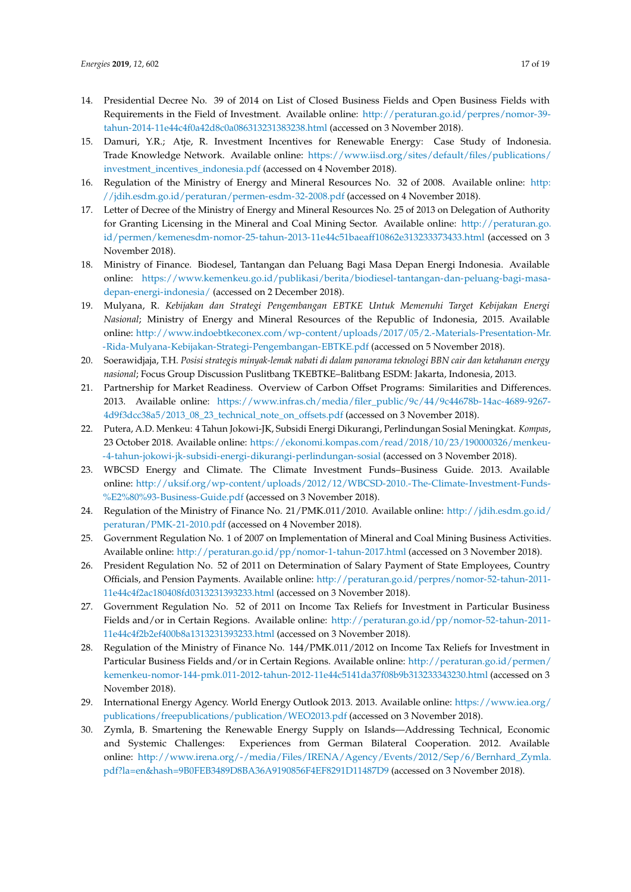- <span id="page-17-0"></span>14. Presidential Decree No. 39 of 2014 on List of Closed Business Fields and Open Business Fields with Requirements in the Field of Investment. Available online: [http://peraturan.go.id/perpres/nomor-39](http://peraturan.go.id/perpres/nomor-39-tahun-2014-11e44c4f0a42d8c0a086313231383238.html) [tahun-2014-11e44c4f0a42d8c0a086313231383238.html](http://peraturan.go.id/perpres/nomor-39-tahun-2014-11e44c4f0a42d8c0a086313231383238.html) (accessed on 3 November 2018).
- <span id="page-17-1"></span>15. Damuri, Y.R.; Atje, R. Investment Incentives for Renewable Energy: Case Study of Indonesia. Trade Knowledge Network. Available online: [https://www.iisd.org/sites/default/files/publications/](https://www.iisd.org/sites/default/files/publications/investment_incentives_indonesia.pdf) [investment\\_incentives\\_indonesia.pdf](https://www.iisd.org/sites/default/files/publications/investment_incentives_indonesia.pdf) (accessed on 4 November 2018).
- <span id="page-17-2"></span>16. Regulation of the Ministry of Energy and Mineral Resources No. 32 of 2008. Available online: [http:](http://jdih.esdm.go.id/peraturan/permen-esdm-32-2008.pdf) [//jdih.esdm.go.id/peraturan/permen-esdm-32-2008.pdf](http://jdih.esdm.go.id/peraturan/permen-esdm-32-2008.pdf) (accessed on 4 November 2018).
- <span id="page-17-3"></span>17. Letter of Decree of the Ministry of Energy and Mineral Resources No. 25 of 2013 on Delegation of Authority for Granting Licensing in the Mineral and Coal Mining Sector. Available online: [http://peraturan.go.](http://peraturan.go.id/permen/kemenesdm-nomor-25-tahun-2013-11e44c51baeaff10862e313233373433.html) [id/permen/kemenesdm-nomor-25-tahun-2013-11e44c51baeaff10862e313233373433.html](http://peraturan.go.id/permen/kemenesdm-nomor-25-tahun-2013-11e44c51baeaff10862e313233373433.html) (accessed on 3 November 2018).
- <span id="page-17-4"></span>18. Ministry of Finance. Biodesel, Tantangan dan Peluang Bagi Masa Depan Energi Indonesia. Available online: [https://www.kemenkeu.go.id/publikasi/berita/biodiesel-tantangan-dan-peluang-bagi-masa](https://www.kemenkeu.go.id/publikasi/berita/biodiesel-tantangan-dan-peluang-bagi-masa-depan-energi-indonesia/)[depan-energi-indonesia/](https://www.kemenkeu.go.id/publikasi/berita/biodiesel-tantangan-dan-peluang-bagi-masa-depan-energi-indonesia/) (accessed on 2 December 2018).
- <span id="page-17-5"></span>19. Mulyana, R. *Kebijakan dan Strategi Pengembangan EBTKE Untuk Memenuhi Target Kebijakan Energi Nasional*; Ministry of Energy and Mineral Resources of the Republic of Indonesia, 2015. Available online: [http://www.indoebtkeconex.com/wp-content/uploads/2017/05/2.-Materials-Presentation-Mr.](http://www.indoebtkeconex.com/wp-content/uploads/2017/05/2.-Materials-Presentation-Mr.-Rida-Mulyana-Kebijakan-Strategi-Pengembangan-EBTKE.pdf) [-Rida-Mulyana-Kebijakan-Strategi-Pengembangan-EBTKE.pdf](http://www.indoebtkeconex.com/wp-content/uploads/2017/05/2.-Materials-Presentation-Mr.-Rida-Mulyana-Kebijakan-Strategi-Pengembangan-EBTKE.pdf) (accessed on 5 November 2018).
- <span id="page-17-6"></span>20. Soerawidjaja, T.H. *Posisi strategis minyak-lemak nabati di dalam panorama teknologi BBN cair dan ketahanan energy nasional*; Focus Group Discussion Puslitbang TKEBTKE–Balitbang ESDM: Jakarta, Indonesia, 2013.
- <span id="page-17-7"></span>21. Partnership for Market Readiness. Overview of Carbon Offset Programs: Similarities and Differences. 2013. Available online: [https://www.infras.ch/media/filer\\_public/9c/44/9c44678b-14ac-4689-9267-](https://www.infras.ch/media/filer_public/9c/44/9c44678b-14ac-4689-9267-4d9f3dcc38a5/2013_08_23_technical_note_on_offsets.pdf) [4d9f3dcc38a5/2013\\_08\\_23\\_technical\\_note\\_on\\_offsets.pdf](https://www.infras.ch/media/filer_public/9c/44/9c44678b-14ac-4689-9267-4d9f3dcc38a5/2013_08_23_technical_note_on_offsets.pdf) (accessed on 3 November 2018).
- <span id="page-17-8"></span>22. Putera, A.D. Menkeu: 4 Tahun Jokowi-JK, Subsidi Energi Dikurangi, Perlindungan Sosial Meningkat. *Kompas*, 23 October 2018. Available online: [https://ekonomi.kompas.com/read/2018/10/23/190000326/menkeu-](https://ekonomi.kompas.com/read/2018/10/23/190000326/menkeu--4-tahun-jokowi-jk-subsidi-energi-dikurangi-perlindungan-sosial) [-4-tahun-jokowi-jk-subsidi-energi-dikurangi-perlindungan-sosial](https://ekonomi.kompas.com/read/2018/10/23/190000326/menkeu--4-tahun-jokowi-jk-subsidi-energi-dikurangi-perlindungan-sosial) (accessed on 3 November 2018).
- <span id="page-17-9"></span>23. WBCSD Energy and Climate. The Climate Investment Funds–Business Guide. 2013. Available online: [http://uksif.org/wp-content/uploads/2012/12/WBCSD-2010.-The-Climate-Investment-Funds-](http://uksif.org/wp-content/uploads/2012/12/WBCSD-2010.-The-Climate-Investment-Funds-%E2%80%93-Business-Guide.pdf) [%E2%80%93-Business-Guide.pdf](http://uksif.org/wp-content/uploads/2012/12/WBCSD-2010.-The-Climate-Investment-Funds-%E2%80%93-Business-Guide.pdf) (accessed on 3 November 2018).
- <span id="page-17-10"></span>24. Regulation of the Ministry of Finance No. 21/PMK.011/2010. Available online: [http://jdih.esdm.go.id/](http://jdih.esdm.go.id/peraturan/PMK-21-2010.pdf) [peraturan/PMK-21-2010.pdf](http://jdih.esdm.go.id/peraturan/PMK-21-2010.pdf) (accessed on 4 November 2018).
- <span id="page-17-11"></span>25. Government Regulation No. 1 of 2007 on Implementation of Mineral and Coal Mining Business Activities. Available online: <http://peraturan.go.id/pp/nomor-1-tahun-2017.html> (accessed on 3 November 2018).
- <span id="page-17-12"></span>26. President Regulation No. 52 of 2011 on Determination of Salary Payment of State Employees, Country Officials, and Pension Payments. Available online: [http://peraturan.go.id/perpres/nomor-52-tahun-2011-](http://peraturan.go.id/perpres/nomor-52-tahun-2011-11e44c4f2ac180408fd0313231393233.html) [11e44c4f2ac180408fd0313231393233.html](http://peraturan.go.id/perpres/nomor-52-tahun-2011-11e44c4f2ac180408fd0313231393233.html) (accessed on 3 November 2018).
- <span id="page-17-13"></span>27. Government Regulation No. 52 of 2011 on Income Tax Reliefs for Investment in Particular Business Fields and/or in Certain Regions. Available online: [http://peraturan.go.id/pp/nomor-52-tahun-2011-](http://peraturan.go.id/pp/nomor-52-tahun-2011-11e44c4f2b2ef400b8a1313231393233.html) [11e44c4f2b2ef400b8a1313231393233.html](http://peraturan.go.id/pp/nomor-52-tahun-2011-11e44c4f2b2ef400b8a1313231393233.html) (accessed on 3 November 2018).
- <span id="page-17-14"></span>28. Regulation of the Ministry of Finance No. 144/PMK.011/2012 on Income Tax Reliefs for Investment in Particular Business Fields and/or in Certain Regions. Available online: [http://peraturan.go.id/permen/](http://peraturan.go.id/permen/kemenkeu-nomor-144-pmk.011-2012-tahun-2012-11e44c5141da37f08b9b313233343230.html) [kemenkeu-nomor-144-pmk.011-2012-tahun-2012-11e44c5141da37f08b9b313233343230.html](http://peraturan.go.id/permen/kemenkeu-nomor-144-pmk.011-2012-tahun-2012-11e44c5141da37f08b9b313233343230.html) (accessed on 3 November 2018).
- <span id="page-17-15"></span>29. International Energy Agency. World Energy Outlook 2013. 2013. Available online: [https://www.iea.org/](https://www.iea.org/publications/freepublications/publication/WEO2013.pdf) [publications/freepublications/publication/WEO2013.pdf](https://www.iea.org/publications/freepublications/publication/WEO2013.pdf) (accessed on 3 November 2018).
- <span id="page-17-16"></span>30. Zymla, B. Smartening the Renewable Energy Supply on Islands—Addressing Technical, Economic and Systemic Challenges: Experiences from German Bilateral Cooperation. 2012. Available online: [http://www.irena.org/-/media/Files/IRENA/Agency/Events/2012/Sep/6/Bernhard\\_Zymla.](http://www.irena.org/-/media/Files/IRENA/Agency/Events/2012/Sep/6/Bernhard_Zymla.pdf?la=en&hash=9B0FEB3489D8BA36A9190856F4EF8291D11487D9) [pdf?la=en&hash=9B0FEB3489D8BA36A9190856F4EF8291D11487D9](http://www.irena.org/-/media/Files/IRENA/Agency/Events/2012/Sep/6/Bernhard_Zymla.pdf?la=en&hash=9B0FEB3489D8BA36A9190856F4EF8291D11487D9) (accessed on 3 November 2018).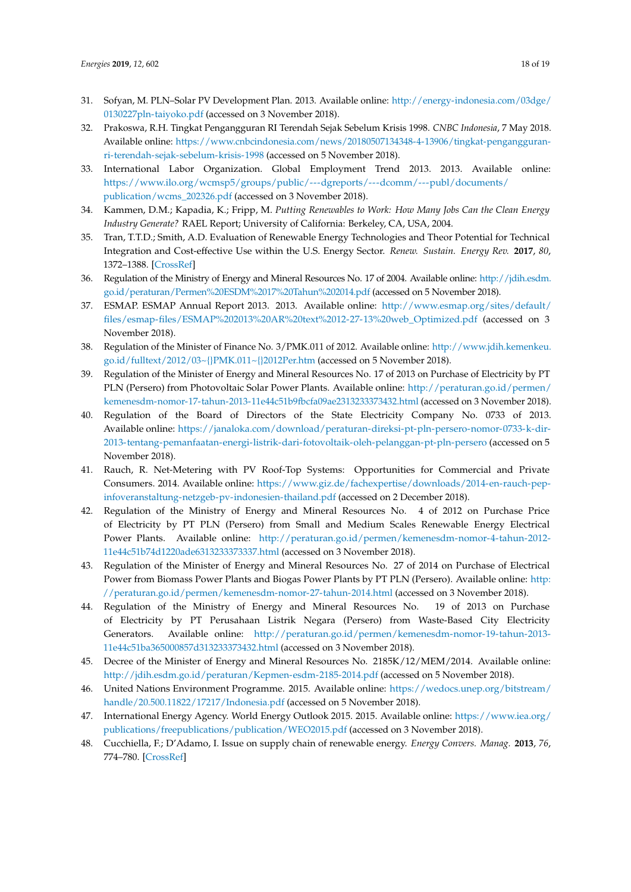- <span id="page-18-0"></span>31. Sofyan, M. PLN–Solar PV Development Plan. 2013. Available online: [http://energy-indonesia.com/03dge/](http://energy-indonesia.com/03dge/0130227pln-taiyoko.pdf) [0130227pln-taiyoko.pdf](http://energy-indonesia.com/03dge/0130227pln-taiyoko.pdf) (accessed on 3 November 2018).
- <span id="page-18-1"></span>32. Prakoswa, R.H. Tingkat Pengangguran RI Terendah Sejak Sebelum Krisis 1998. *CNBC Indonesia*, 7 May 2018. Available online: [https://www.cnbcindonesia.com/news/20180507134348-4-13906/tingkat-pengangguran](https://www.cnbcindonesia.com/news/20180507134348-4-13906/tingkat-pengangguran-ri-terendah-sejak-sebelum-krisis-1998)[ri-terendah-sejak-sebelum-krisis-1998](https://www.cnbcindonesia.com/news/20180507134348-4-13906/tingkat-pengangguran-ri-terendah-sejak-sebelum-krisis-1998) (accessed on 5 November 2018).
- <span id="page-18-2"></span>33. International Labor Organization. Global Employment Trend 2013. 2013. Available online: [https://www.ilo.org/wcmsp5/groups/public/---dgreports/---dcomm/---publ/documents/](https://www.ilo.org/wcmsp5/groups/public/---dgreports/---dcomm/---publ/documents/publication/wcms_202326.pdf) [publication/wcms\\_202326.pdf](https://www.ilo.org/wcmsp5/groups/public/---dgreports/---dcomm/---publ/documents/publication/wcms_202326.pdf) (accessed on 3 November 2018).
- <span id="page-18-3"></span>34. Kammen, D.M.; Kapadia, K.; Fripp, M. *Putting Renewables to Work: How Many Jobs Can the Clean Energy Industry Generate?* RAEL Report; University of California: Berkeley, CA, USA, 2004.
- <span id="page-18-4"></span>35. Tran, T.T.D.; Smith, A.D. Evaluation of Renewable Energy Technologies and Theor Potential for Technical Integration and Cost-effective Use within the U.S. Energy Sector. *Renew. Sustain. Energy Rev.* **2017**, *80*, 1372–1388. [\[CrossRef\]](http://dx.doi.org/10.1016/j.rser.2017.05.228)
- <span id="page-18-5"></span>36. Regulation of the Ministry of Energy and Mineral Resources No. 17 of 2004. Available online: [http://jdih.esdm.](http://jdih.esdm.go.id/peraturan/Permen%20ESDM%2017%20Tahun%202014.pdf) [go.id/peraturan/Permen%20ESDM%2017%20Tahun%202014.pdf](http://jdih.esdm.go.id/peraturan/Permen%20ESDM%2017%20Tahun%202014.pdf) (accessed on 5 November 2018).
- <span id="page-18-6"></span>37. ESMAP. ESMAP Annual Report 2013. 2013. Available online: [http://www.esmap.org/sites/default/](http://www.esmap.org/sites/default/files/esmap-files/ESMAP%202013%20AR%20text%2012-27-13%20web_Optimized.pdf) [files/esmap-files/ESMAP%202013%20AR%20text%2012-27-13%20web\\_Optimized.pdf](http://www.esmap.org/sites/default/files/esmap-files/ESMAP%202013%20AR%20text%2012-27-13%20web_Optimized.pdf) (accessed on 3 November 2018).
- <span id="page-18-7"></span>38. Regulation of the Minister of Finance No. 3/PMK.011 of 2012. Available online: [http://www.jdih.kemenkeu.](http://www.jdih.kemenkeu.go.id/fulltext/2012/03~{}PMK.011~{}2012Per.htm) [go.id/fulltext/2012/03~{}PMK.011~{}2012Per.htm](http://www.jdih.kemenkeu.go.id/fulltext/2012/03~{}PMK.011~{}2012Per.htm) (accessed on 5 November 2018).
- <span id="page-18-8"></span>39. Regulation of the Minister of Energy and Mineral Resources No. 17 of 2013 on Purchase of Electricity by PT PLN (Persero) from Photovoltaic Solar Power Plants. Available online: [http://peraturan.go.id/permen/](http://peraturan.go.id/permen/kemenesdm-nomor-17-tahun-2013-11e44c51b9fbcfa09ae2313233373432.html) [kemenesdm-nomor-17-tahun-2013-11e44c51b9fbcfa09ae2313233373432.html](http://peraturan.go.id/permen/kemenesdm-nomor-17-tahun-2013-11e44c51b9fbcfa09ae2313233373432.html) (accessed on 3 November 2018).
- <span id="page-18-9"></span>40. Regulation of the Board of Directors of the State Electricity Company No. 0733 of 2013. Available online: [https://janaloka.com/download/peraturan-direksi-pt-pln-persero-nomor-0733-k-dir-](https://janaloka.com/download/peraturan-direksi-pt-pln-persero-nomor-0733-k-dir-2013-tentang-pemanfaatan-energi-listrik-dari-fotovoltaik-oleh-pelanggan-pt-pln-persero)[2013-tentang-pemanfaatan-energi-listrik-dari-fotovoltaik-oleh-pelanggan-pt-pln-persero](https://janaloka.com/download/peraturan-direksi-pt-pln-persero-nomor-0733-k-dir-2013-tentang-pemanfaatan-energi-listrik-dari-fotovoltaik-oleh-pelanggan-pt-pln-persero) (accessed on 5 November 2018).
- <span id="page-18-10"></span>41. Rauch, R. Net-Metering with PV Roof-Top Systems: Opportunities for Commercial and Private Consumers. 2014. Available online: [https://www.giz.de/fachexpertise/downloads/2014-en-rauch-pep](https://www.giz.de/fachexpertise/downloads/2014-en-rauch-pep-infoveranstaltung-netzgeb-pv-indonesien-thailand.pdf)[infoveranstaltung-netzgeb-pv-indonesien-thailand.pdf](https://www.giz.de/fachexpertise/downloads/2014-en-rauch-pep-infoveranstaltung-netzgeb-pv-indonesien-thailand.pdf) (accessed on 2 December 2018).
- <span id="page-18-11"></span>42. Regulation of the Ministry of Energy and Mineral Resources No. 4 of 2012 on Purchase Price of Electricity by PT PLN (Persero) from Small and Medium Scales Renewable Energy Electrical Power Plants. Available online: [http://peraturan.go.id/permen/kemenesdm-nomor-4-tahun-2012-](http://peraturan.go.id/permen/kemenesdm-nomor-4-tahun-2012-11e44c51b74d1220ade6313233373337.html) [11e44c51b74d1220ade6313233373337.html](http://peraturan.go.id/permen/kemenesdm-nomor-4-tahun-2012-11e44c51b74d1220ade6313233373337.html) (accessed on 3 November 2018).
- <span id="page-18-12"></span>43. Regulation of the Minister of Energy and Mineral Resources No. 27 of 2014 on Purchase of Electrical Power from Biomass Power Plants and Biogas Power Plants by PT PLN (Persero). Available online: [http:](http://peraturan.go.id/permen/kemenesdm-nomor-27-tahun-2014.html) [//peraturan.go.id/permen/kemenesdm-nomor-27-tahun-2014.html](http://peraturan.go.id/permen/kemenesdm-nomor-27-tahun-2014.html) (accessed on 3 November 2018).
- <span id="page-18-13"></span>44. Regulation of the Ministry of Energy and Mineral Resources No. 19 of 2013 on Purchase of Electricity by PT Perusahaan Listrik Negara (Persero) from Waste-Based City Electricity Generators. Available online: [http://peraturan.go.id/permen/kemenesdm-nomor-19-tahun-2013-](http://peraturan.go.id/permen/kemenesdm-nomor-19-tahun-2013-11e44c51ba365000857d313233373432.html) [11e44c51ba365000857d313233373432.html](http://peraturan.go.id/permen/kemenesdm-nomor-19-tahun-2013-11e44c51ba365000857d313233373432.html) (accessed on 3 November 2018).
- <span id="page-18-14"></span>45. Decree of the Minister of Energy and Mineral Resources No. 2185K/12/MEM/2014. Available online: <http://jdih.esdm.go.id/peraturan/Kepmen-esdm-2185-2014.pdf> (accessed on 5 November 2018).
- <span id="page-18-15"></span>46. United Nations Environment Programme. 2015. Available online: [https://wedocs.unep.org/bitstream/](https://wedocs.unep.org/bitstream/handle/20.500.11822/17217/Indonesia.pdf) [handle/20.500.11822/17217/Indonesia.pdf](https://wedocs.unep.org/bitstream/handle/20.500.11822/17217/Indonesia.pdf) (accessed on 5 November 2018).
- <span id="page-18-16"></span>47. International Energy Agency. World Energy Outlook 2015. 2015. Available online: [https://www.iea.org/](https://www.iea.org/publications/freepublications/publication/WEO2015.pdf) [publications/freepublications/publication/WEO2015.pdf](https://www.iea.org/publications/freepublications/publication/WEO2015.pdf) (accessed on 3 November 2018).
- <span id="page-18-17"></span>48. Cucchiella, F.; D'Adamo, I. Issue on supply chain of renewable energy. *Energy Convers. Manag.* **2013**, *76*, 774–780. [\[CrossRef\]](http://dx.doi.org/10.1016/j.enconman.2013.07.081)